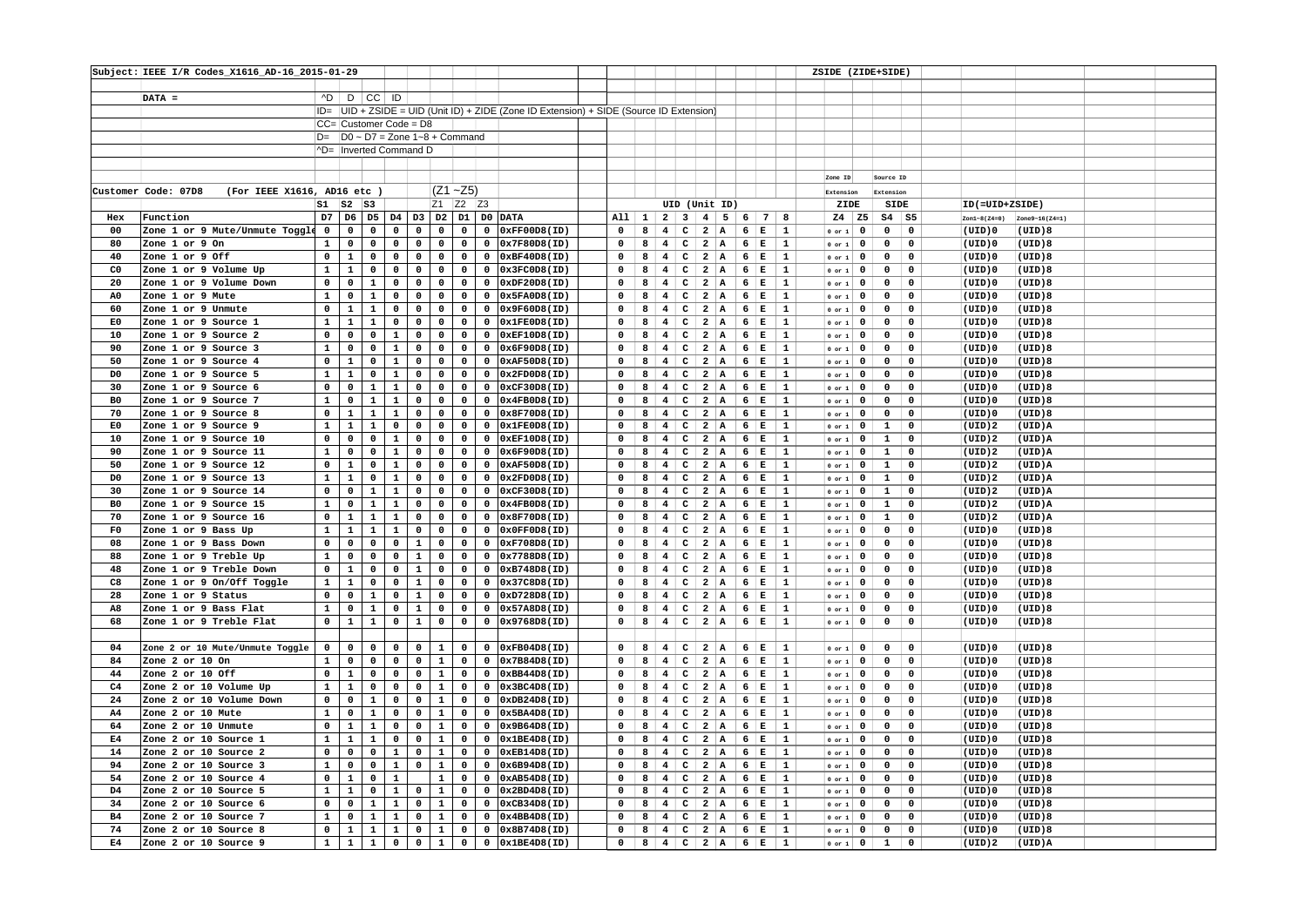|                | Subject: IEEE I/R Codes_X1616_AD-16_2015-01-29     |                |                |                |              |                        |                |                                                               |                |                                                                                          |             |   |                         |                                         |                |                     |              |              | ZSIDE (ZIDE+SIDE) |                |                |              |                |                |  |
|----------------|----------------------------------------------------|----------------|----------------|----------------|--------------|------------------------|----------------|---------------------------------------------------------------|----------------|------------------------------------------------------------------------------------------|-------------|---|-------------------------|-----------------------------------------|----------------|---------------------|--------------|--------------|-------------------|----------------|----------------|--------------|----------------|----------------|--|
|                |                                                    |                |                |                |              |                        |                |                                                               |                |                                                                                          |             |   |                         |                                         |                |                     |              |              |                   |                |                |              |                |                |  |
|                | $DATA =$                                           |                |                | AD D CC ID     |              |                        |                |                                                               |                |                                                                                          |             |   |                         |                                         |                |                     |              |              |                   |                |                |              |                |                |  |
|                |                                                    |                |                |                |              |                        |                |                                                               |                | ID=  UID + ZSIDE = UID (Unit ID) + ZIDE (Zone ID Extension) + SIDE (Source ID Extension) |             |   |                         |                                         |                |                     |              |              |                   |                |                |              |                |                |  |
|                |                                                    |                |                |                |              | CC= Customer Code = D8 |                |                                                               |                |                                                                                          |             |   |                         |                                         |                |                     |              |              |                   |                |                |              |                |                |  |
|                |                                                    |                |                |                |              |                        |                | $D = \{D0 \sim D7 = \text{Zone } 1 \sim 8 + \text{Command}\}$ |                |                                                                                          |             |   |                         |                                         |                |                     |              |              |                   |                |                |              |                |                |  |
|                |                                                    |                |                |                |              | ^D= Inverted Command D |                |                                                               |                |                                                                                          |             |   |                         |                                         |                |                     |              |              |                   |                |                |              |                |                |  |
|                |                                                    |                |                |                |              |                        |                |                                                               |                |                                                                                          |             |   |                         |                                         |                |                     |              |              |                   |                |                |              |                |                |  |
|                |                                                    |                |                |                |              |                        |                |                                                               |                |                                                                                          |             |   |                         |                                         |                |                     |              |              |                   |                | Source ID      |              |                |                |  |
|                |                                                    |                |                |                |              |                        |                |                                                               |                |                                                                                          |             |   |                         |                                         |                |                     |              |              | Zone ID           |                |                |              |                |                |  |
|                | (For IEEE X1616, AD16 etc )<br>Customer Code: 07D8 |                |                |                |              |                        |                | $(Z1 - Z5)$                                                   |                |                                                                                          |             |   |                         |                                         |                |                     |              |              | Extension         |                | Extension      |              |                |                |  |
|                |                                                    | $S1$ $S2$ $S3$ |                |                |              |                        |                | Z1 Z2 Z3                                                      |                |                                                                                          |             |   |                         | UID (Unit ID)                           |                |                     |              |              | ZIDE              |                | SIDE           |              | ID(=UID+ZSIDE) |                |  |
| Hex            | Function                                           | D7             | D6             | D <sub>5</sub> | D4           | D <sub>3</sub>         | D <sub>2</sub> | D1                                                            |                | DO DATA                                                                                  | All 1       |   | $2 \mid 3 \mid 4$       |                                         |                | $5 \quad 6 \quad 7$ |              | -8           | $Z4$ $Z5$         |                | $S4$ $S5$      |              | $Zon1-8(24=0)$ | Zone9-16(Z4=1) |  |
| 00             | Zone 1 or 9 Mute/Unmute Toggle                     | $\mathbf 0$    | 0              | 0              | 0            | 0                      | 0              | 0                                                             | $\mathbf 0$    | 0xFF00D8(ID)                                                                             | $\mathbf 0$ | 8 | 4                       | $\mathbf{C}$                            | $2 \mid A$     |                     | 6 E          | 1            | $0$ or $1$        | $\mathbf 0$    | $\mathbf 0$    | $\mathbf 0$  | (UID)0         | (UID)8         |  |
| 80             | Zone 1 or 9 On                                     | $\mathbf{1}$   | 0              | 0              | 0            | 0                      | $\mathbf 0$    | $\mathbf 0$                                                   | $\mathbf 0$    | 0x7F80D8(ID)                                                                             | 0           | 8 | $4^{\circ}$             | $\mathbf{C}$<br>$\overline{a}$          | $\mathbf{A}$   | 6                   | Е            | $\mathbf{1}$ | $0$ or $1$        | $\mathbf 0$    | 0              | $\mathsf{o}$ | (UID)0         | (UID)8         |  |
| 40             | Zone 1 or 9 Off                                    | $\mathsf{o}\,$ | $\mathbf 1$    | 0              | 0            | 0                      | $\mathbf 0$    | $\mathbf 0$                                                   | $\mathbf 0$    | 0xBF40D8(ID)                                                                             | $\mathbf 0$ | 8 | $\overline{4}$          | $\mathbf{C}$<br>$\overline{a}$          | $\mathbf{A}$   | $6 \frac{1}{2}$     | $\mathbf E$  | $\mathbf 1$  | $0$ or $1$        | $\mathbf 0$    | $\mathsf{o}\,$ | $\mathbf 0$  | (UID)0         | (UID)8         |  |
| C0             | Zone 1 or 9 Volume Up                              | $\mathbf{1}$   | $\mathbf 1$    | 0              | 0            | 0                      | $\mathbf 0$    | $\mathbf 0$                                                   | $\mathbf 0$    | 0x3FC0D8(ID)                                                                             | 0           | 8 | 4                       | c <br>$\overline{\mathbf{2}}$           | A              |                     | $6 \mid E$   | 1            | $0$ or $1$        | $\mathbf 0$    | $\mathbf 0$    | $\mathsf{o}$ | (UID)0         | (UID)8         |  |
| 20             | Zone 1 or 9 Volume Down                            | $\mathbf 0$    | 0              | $\mathbf{1}$   | 0            | 0                      | 0              | 0                                                             | 0              | 0xDF20D8(ID)                                                                             | 0           | 8 | $\overline{4}$          | $\mathbf{C}$<br>$\overline{a}$          | $\mathbf{A}$   |                     | 6 E          | 1            | $0$ or $1$        | $\mathbf 0$    | $\mathsf{o}\,$ | 0            | (UID)0         | (UID)8         |  |
| A0             | Zone 1 or 9 Mute                                   | $\mathbf{1}$   | $\mathbf 0$    | $\mathbf{1}$   | 0            | 0                      | 0              | $\mathbf 0$                                                   | $^{\circ}$     | 0x5FA0D8(ID)                                                                             | $\mathbf 0$ | 8 | $\overline{\mathbf{4}}$ | $\mathsf{C}$                            | $2 \mid A$     |                     | 6 E          | $\mathbf{1}$ | $0$ or $1$        | $\mathbf 0$    | $\mathbf 0$    | $\mathbf 0$  | (UID)0         | (UID)8         |  |
| 60             | Zone 1 or 9 Unmute                                 | 0              | $\mathbf 1$    | $\mathbf{1}$   | 0            | 0                      | $\mathbf 0$    | $\mathbf 0$                                                   | $\mathbf 0$    | 0x9F60D8(ID)                                                                             | 0           | 8 | $\overline{4}$          | $\mathbf{C}$<br>$\overline{2}$          | A              | 6                   | Е            | 1            | $0$ or $1$        | $\mathbf 0$    | $\mathbf 0$    | 0            | (UID)0         | (UID)8         |  |
| E0             | Zone 1 or 9 Source 1                               | $\mathbf{1}$   | $\mathbf{1}$   | $\mathbf{1}$   | 0            | 0                      | 0              | 0                                                             | $\mathbf 0$    | 0x1FE0D8(ID)                                                                             | 0           | 8 | $4\phantom{1}$          | $\mathbf{C}$<br>$\overline{a}$          | A              | 6                   | Е            | 1            | $0$ or $1$        | $\mathbf 0$    | $\mathbf 0$    | $\mathbf 0$  | (UID)0         | (UID)8         |  |
| 10             | Zone 1 or 9 Source 2                               | $\mathbf 0$    | $\mathbf 0$    | 0              | $\mathbf{1}$ | 0                      | $\mathbf 0$    | $\mathbf 0$                                                   | $\mathbf 0$    | 0xEF10D8(ID)                                                                             | 0           | 8 | $\overline{\mathbf{4}}$ | $\mathbf{C}$<br>$\overline{\mathbf{2}}$ | A              |                     | 6 E          | 1            | $0$ or $1$        | $\mathbf 0$    | $\mathbf 0$    | 0            | (UID)0         | (UID)8         |  |
| 90             | Zone 1 or 9 Source 3                               | $\mathbf{1}$   | $\mathsf{o}\,$ | 0              | $\mathbf{1}$ | 0                      | 0              | $\mathbf 0$                                                   | $\mathbf 0$    | 0x6F90D8(ID)                                                                             | $\Omega$    | 8 | $4\overline{ }$         | $\mathbf{C}$<br>$\overline{a}$          | A              |                     | $6 \mid E$   | 1            | $0$ or $1$        | $\mathbf 0$    | $\mathbf 0$    | $\mathbf 0$  | (UID)0         | (UID)8         |  |
| 50             | Zone 1 or 9 Source 4                               | 0              | 1              | 0              | $\mathbf{1}$ | 0                      | $\mathbf 0$    | $\mathbf 0$                                                   | $\mathbf 0$    | 0xAF50D8(ID)                                                                             | $\mathbf 0$ | 8 | $\overline{4}$          | $\mathsf{C}$                            | $2 \mid A$     |                     | 6 E          | 1            | $0$ or $1$        | $\mathbf 0$    | $\mathbf 0$    | $\mathbf 0$  | (UID)0         | (UID)8         |  |
| D <sub>0</sub> | Zone 1 or 9 Source 5                               | $\mathbf{1}$   | $\mathbf{1}$   | $\mathbf 0$    | $\mathbf 1$  | 0                      | $\mathsf{o}\,$ | $\mathbf 0$                                                   | $\mathbf 0$    | 0x2FDOD8(ID)                                                                             | $\mathbf 0$ | 8 | $\overline{4}$          | $\mathbf{C}$                            | 2 A            | 6 <sup>1</sup>      | $\mathbf E$  | $\mathbf 1$  | $0$ or $1$        | $\mathbf 0$    | $\mathbf 0$    | $\mathbf 0$  | (UID)0         | (UID)8         |  |
| 30             | Zone 1 or 9 Source 6                               | $\mathbf 0$    | $\mathbf 0$    | $\mathbf{1}$   | $\mathbf{1}$ | 0                      | $\mathsf{o}\,$ | $\mathsf{o}\,$                                                | $\mathbf 0$    | 0xCF30D8(ID)                                                                             | $\mathbf 0$ | 8 | $\overline{4}$          | $\mathbf{C}$<br>$\overline{\mathbf{2}}$ | ∣ A            |                     | 6 E          | 1            | $0$ or $1$        | $\mathbf 0$    | $\mathbf 0$    | $\mathbf 0$  | (UID)0         | (UID)8         |  |
| B <sub>0</sub> | Zone 1 or 9 Source 7                               | $\mathbf{1}$   | $\mathbf 0$    | $\mathbf{1}$   | $\mathbf{1}$ | 0                      | $\mathbf 0$    | $\mathbf 0$                                                   | $\mathbf 0$    | 0x4FBOD8(ID)                                                                             | 0           | 8 | $\overline{\mathbf{4}}$ | $\mathbf{C}$<br>$\overline{a}$          | A              |                     | $6 \mid E$   | 1            | $0$ or $1$        | $\mathbf 0$    | $\mathbf 0$    | $\mathbf 0$  | $(UID)$ 0      | (UID)8         |  |
| 70             | Zone 1 or 9 Source 8                               | 0              | $\mathbf{1}$   | $\mathbf{1}$   | $\mathbf{1}$ | 0                      | $\mathbf 0$    | $\mathbf 0$                                                   | $\mathbf 0$    | 0x8F70D8(ID)                                                                             | $\mathbf 0$ | 8 | $\overline{4}$          | $\mathbf{C}$<br>$\overline{\mathbf{2}}$ | A              |                     | 6 E          | 1            | $0$ or $1$        | $\mathbf 0$    | $\mathbf 0$    | $\mathsf{o}$ | (UID)0         | (UID)8         |  |
| E <sub>0</sub> | Zone 1 or 9 Source 9                               | $\mathbf{1}$   | $\mathbf{1}$   | $\mathbf{1}$   | $\mathbf 0$  | 0                      | $\mathbf 0$    | $\mathbf 0$                                                   | $\mathbf 0$    | 0x1FE0D8(ID)                                                                             | $\mathbf 0$ | 8 | 4                       | $\mathbf{C}$                            | $2 \mid A$     |                     | $6 \mid E$   | $\mathbf{1}$ | $0$ or $1$        | $\mathbf 0$    | $\mathbf{1}$   | $\mathbf 0$  | (UID)2         | $(UID)$ A      |  |
| 10             | Zone 1 or 9 Source 10                              | 0              | $\mathbf 0$    | $\mathsf{o}\,$ | $\mathbf{1}$ | 0                      | $\mathsf{o}\,$ | $\mathbf 0$                                                   | $\mathbf 0$    | 0xEF10D8(ID)                                                                             | 0           | 8 | $\overline{4}$          | $\mathbf{C}$<br>$\overline{\mathbf{2}}$ | A              |                     | 6 E          | 1            | $0$ or $1$        | $\mathbf 0$    | $\mathbf{1}$   | $\mathsf{o}$ | (UID)2         | (UID)A         |  |
| 90             | Zone 1 or 9 Source 11                              | $\mathbf{1}$   | $\mathbf 0$    | $\mathbf 0$    | $\mathbf{1}$ | 0                      | $\mathsf{o}\,$ | $\mathbf 0$                                                   | $\mathbf 0$    | 0x6F90D8(ID)                                                                             | $\mathbf 0$ | 8 | $\overline{\mathbf{4}}$ | $\mathbf{C}$                            | 2 A            |                     | $6 \nvert E$ | $\mathbf{1}$ | $0$ or $1$        | $\mathbf 0$    | $\mathbf{1}$   | $\mathbf 0$  | (UID)2         | (UID)A         |  |
| 50             | Zone 1 or 9 Source 12                              | 0              | $\mathbf{1}$   | 0              | $\mathbf{1}$ | 0                      | $\mathbf 0$    | $\mathbf 0$                                                   | $\mathbf{o}$   | 0xAF50D8(ID)                                                                             | $\mathbf 0$ | 8 | $\overline{4}$          | c<br>$\overline{\mathbf{2}}$            | $\overline{A}$ |                     | $6 \mid E$   | 1            | $0$ or $1$        | $\mathbf 0$    | $\mathbf{1}$   | $\mathbf 0$  | (UID)2         | (UID)A         |  |
| D <sub>0</sub> | Zone 1 or 9 Source 13                              | $\mathbf{1}$   | $\mathbf 1$    | $\mathbf 0$    | $\mathbf{1}$ | 0                      | $\mathsf{o}\,$ | $\mathbf 0$                                                   | $\mathbf 0$    | 0x2FDOD8(ID)                                                                             | $\mathbf 0$ | 8 | $\overline{4}$          | $\overline{a}$<br>$\mathbf{C}$          | A              | $6 \frac{1}{2}$     | $\mathbf E$  | $\mathbf{1}$ | $0$ or $1$        | $\mathbf 0$    | $\mathbf{1}$   | $\mathbf 0$  | (UID)2         | (UID)A         |  |
| 30             | Zone 1 or 9 Source 14                              | $\mathbf 0$    | $\mathbf 0$    | $\mathbf{1}$   | $\mathbf{1}$ | 0                      | $\mathsf{o}\,$ | $\mathsf{o}\,$                                                | $\mathbf 0$    | 0xCF30D8(ID)                                                                             | $\mathbf 0$ | 8 | $4\phantom{1}$          | c<br>$\overline{\mathbf{2}}$            | A              |                     | $6 \mid E$   | 1            | 0 or 1            | $\mathbf 0$    | $\mathbf{1}$   | $\mathbf 0$  | (UID)2         | (UID)A         |  |
| B <sub>0</sub> | Zone 1 or 9 Source 15                              | $\mathbf{1}$   | 0              | $\mathbf{1}$   | $\mathbf{1}$ | 0                      | $\mathbf 0$    | $\mathbf 0$                                                   | $\mathbf 0$    | 0x4FBOD8(ID)                                                                             | 0           | 8 | $\overline{4}$          | $\overline{\mathbf{2}}$<br>$\mathbf{C}$ | A              | 6                   | Е            | $\mathbf{1}$ |                   |                | $\mathbf{1}$   | $\mathsf{o}$ | (UID)2         | (UID)A         |  |
| 70             | Zone 1 or 9 Source 16                              | $\mathbf 0$    | $\mathbf{1}$   | $\mathbf{1}$   | $\mathbf{1}$ | 0                      | $\mathbf 0$    | $\mathbf 0$                                                   | $\mathbf 0$    | 0x8F70D8(ID)                                                                             | $\mathbf 0$ | 8 | $\overline{\mathbf{4}}$ | $\overline{\mathbf{2}}$                 |                |                     |              | $\mathbf{1}$ | $0$ or $1$        | $\mathbf 0$    | $\mathbf{1}$   | $\mathbf 0$  | (UID)2         | (UID)A         |  |
|                |                                                    |                |                |                | $\mathbf{1}$ |                        |                |                                                               |                |                                                                                          |             |   |                         | $\mathbf{C}$                            | A)             |                     | $6 \mid E$   |              | $0$ or $1$        | $\mathbf 0$    |                |              |                |                |  |
| F0             | Zone 1 or 9 Bass Up                                | $\mathbf{1}$   | $\mathbf{1}$   | $\mathbf{1}$   |              | 0                      | $\mathbf 0$    | $\mathbf 0$                                                   | $\mathbf 0$    | 0x0FF0D8(ID)                                                                             | 0           | 8 | $\overline{4}$          | c <br>$\overline{a}$                    | $\overline{A}$ | $6 \frac{1}{2}$     | $\mathbf E$  | 1            | $0$ or $1$        | $\mathbf 0$    | $\mathbf 0$    | $\mathsf{o}$ | (UID)0         | (UID)8         |  |
| 08             | Zone 1 or 9 Bass Down                              | 0              | $\mathbf 0$    | 0              | 0            | $\mathbf 1$            | 0              | $\mathbf 0$                                                   | $\mathbf 0$    | 0xF708D8(ID)                                                                             | $\Omega$    | 8 | $\overline{\mathbf{4}}$ | $\mathbf{C}$<br>$\overline{\mathbf{2}}$ | A              |                     | $6 \mid E$   | $\mathbf{1}$ | $0$ or $1$        | $\mathbf 0$    | $\mathbf 0$    | $\mathbf 0$  | (UID)0         | (UID)8         |  |
| 88             | Zone 1 or 9 Treble Up                              | $\mathbf{1}$   | $\mathbf 0$    | 0              | 0            | $\mathbf{1}$           | 0              | $\mathbf 0$                                                   | $\mathbf 0$    | 0x7788D8(ID)                                                                             | 0           | 8 | $\overline{\mathbf{4}}$ | $\mathbf{C}$                            | 2 A            |                     | $6 \mid E$   | 1            | $0$ or $1$        | $\mathbf 0$    | $\mathbf 0$    | $\mathsf{o}$ | (UID)0         | (UID)8         |  |
| 48             | Zone 1 or 9 Treble Down                            | $\mathsf{o}\,$ | $\mathbf{1}$   | 0              | 0            | $\mathbf 1$            | $\mathsf{o}\,$ | $\mathbf 0$                                                   | $\mathsf{o}\,$ | 0xB748D8(ID)                                                                             | $\mathbf 0$ | 8 | $\overline{4}$          | $\mathbf{C}$<br>$\overline{\mathbf{2}}$ | A              |                     | $6 \mid E$   | 1            | $0$ or $1$        | $\mathbf 0$    | $\mathbf 0$    | $\mathbf 0$  | (UID)0         | (UID)8         |  |
| C8             | Zone 1 or 9 On/Off Toggle                          | $\mathbf{1}$   | $\mathbf{1}$   | $\mathbf 0$    | $\mathbf 0$  | $\mathbf{1}$           | $\mathbf 0$    | $\mathbf 0$                                                   | $\mathbf 0$    | 0x37C8D8(ID)                                                                             | 0           | 8 | $4$ C $2$ A 6 E         |                                         |                |                     |              | $\mathbf{1}$ | $0$ or $1$        | $\mathbf 0$    | $\mathbf 0$    | $\mathbf 0$  | (UID)0         | (UID)8         |  |
| 28             | Zone 1 or 9 Status                                 | $\mathsf{o}\,$ | $\mathsf{o}\,$ | $\mathbf{1}$   | 0            | $\mathbf{1}$           | $\mathsf{o}\,$ | $\mathsf{o}\,$                                                | $\mathbf 0$    | 0xD728D8(ID)                                                                             | $\mathbf 0$ | 8 | $\overline{4}$          | $\mathbf{C}$                            | 2 A            |                     | $6 \mid E$   | $\mathbf{1}$ | $0$ or $1$        | $\mathbf 0$    | $\mathbf 0$    | $\mathbf 0$  | (UID)0         | (UID)8         |  |
| A8             | Zone 1 or 9 Bass Flat                              | $\mathbf{1}$   | $\mathbf 0$    | $\mathbf{1}$   | 0            | $\mathbf{1}$           | $\mathbf 0$    | $\mathbf 0$                                                   | $\mathbf 0$    | 0x57A8D8(ID)                                                                             | 0           | 8 | 4 <sup>1</sup>          | $\mathsf{C}$                            | $2 \mid A$     |                     | 6 E          | 1            | $0$ or $1$        | $\mathbf 0$    | $\mathbf 0$    | $\mathsf{o}$ | (UID)0         | (UID)8         |  |
| 68             | Zone 1 or 9 Treble Flat                            | $\mathbf 0$    | $\mathbf{1}$   | $\mathbf{1}$   | $\mathbf 0$  | $\mathbf{1}$           | $\mathsf{o}\,$ | $\mathsf{o}\,$                                                | $\mathbf 0$    | 0x9768D8(ID)                                                                             | $\mathbf 0$ | 8 | 4                       | $C$   2   A                             |                |                     | $6 \mid E$   | $\mathbf{1}$ | $0$ or $1$        | $\mathbf 0$    | $\mathbf 0$    | $\mathsf{o}$ | (UID)0         | (UID)8         |  |
|                |                                                    |                |                |                |              |                        |                |                                                               |                |                                                                                          |             |   |                         |                                         |                |                     |              |              |                   |                |                |              |                |                |  |
| 04             | Zone 2 or 10 Mute/Unmute Toggle                    | $\mathbf 0$    | $\mathbf 0$    | $\mathbf 0$    | $\mathbf 0$  | $\mathbf 0$            | $\mathbf{1}$   | $\mathbf 0$                                                   | $\mathbf 0$    | 0xFB04D8(ID)                                                                             | 0           | 8 | 4                       | $\mathbf{c}$                            | 2 A            |                     | 6 E          | $\mathbf{1}$ | $0$ or $1$        | $\mathbf 0$    | $\mathbf 0$    | $\mathbf 0$  | (UID)0         | (UID)8         |  |
| 84             | Zone 2 or 10 On                                    | $\mathbf{1}$   | $\mathbf 0$    | 0              | 0            | 0                      | $\mathbf{1}$   | $\mathbf 0$                                                   | $\mathbf 0$    | 0x7B84D8(ID)                                                                             | $\Omega$    | 8 | 4                       | $\overline{\mathbf{c}}$<br>$\mathbf{C}$ | $\mathbf{A}$   |                     | 6 E          | $\mathbf{1}$ | $0$ or $1$        | $\mathbf 0$    | $\mathbf 0$    | $\mathbf 0$  | (UID)0         | (UID)8         |  |
| 44             | Zone 2 or 10 Off                                   | $\mathbf 0$    | $\mathbf{1}$   | 0              | $\mathbf 0$  | 0                      | $\mathbf{1}$   | $\mathsf{o}\,$                                                | 0              | 0xBB44D8(ID)                                                                             | 0           | 8 | 4                       | $\mathsf{c}$                            | 2 A            |                     | 6 E          | 1            | $0$ or $1$        | $\mathbf 0$    | $\mathbf 0$    | 0            | (UID)0         | (UID)8         |  |
| C <sub>4</sub> | Zone 2 or 10 Volume Up                             | $\mathbf{1}$   | $\mathbf{1}$   | 0              | $\mathbf 0$  | 0                      | $\mathbf{1}$   | 0                                                             | $\mathbf 0$    | 0x3BC4D8(ID)                                                                             | $\mathbf 0$ | 8 | $\overline{4}$          | $\mathbf{C}$<br>$\overline{\mathbf{2}}$ | A              |                     | $6 \mid E$   | 1            | $0$ or $1$        | $\mathbf 0$    | $\mathbf 0$    | $\mathbf 0$  | (UID)0         | (UID)8         |  |
| 24             | Zone 2 or 10 Volume Down                           | 0              | $\mathbf 0$    | $\mathbf 1$    | 0            | 0                      | $\mathbf 1$    | $\mathbf 0$                                                   | $\mathbf 0$    | 0xDB24D8(ID)                                                                             | 0           | 8 | $\overline{4}$          | $\mathbf{C}$<br>$\overline{2}$          | $\mathbf{A}$   | $6 \frac{1}{2}$     | Е            | 1            | $0$ or $1$        | $\mathbf 0$    | $\mathbf 0$    | $\mathsf{o}$ | (UID)0         | (UID)8         |  |
| ${\bf A4}$     | Zone 2 or 10 Mute                                  | $\mathbf 1$    | $\mathbf 0$    | $\mathbf 1$    | 0            | 0                      | $\mathbf 1$    | 0                                                             | 0              | 0x5BA4D8(ID)                                                                             | $\mathbf 0$ | 8 | $\overline{\mathbf{4}}$ | $\mathbf{C}$<br>$\overline{\mathbf{2}}$ | A              |                     | $6 \mid E$   | 1            | $0$ or $1$        | $\mathbf 0$    | $\mathbf 0$    | $\mathbf 0$  | (UID)0         | (UID)8         |  |
| 64             | Zone 2 or 10 Unmute                                | 0              | $\mathbf 1$    | $\mathbf{1}$   | 0            | 0                      | $\mathbf{1}$   | $\mathbf 0$                                                   | 0              | 0x9B64D8(ID)                                                                             | 0           | 8 | $\overline{4}$          | $\mathbf{C}$<br>$\overline{\mathbf{2}}$ | A              | 6                   | Е            | 1            | $0$ or $1$        | $\mathbf 0$    | $\mathbf 0$    | $\mathsf{o}$ | (UID)0         | (UID)8         |  |
| E4             | Zone 2 or 10 Source 1                              | $\mathbf{1}$   | $\mathbf 1$    | $\mathbf 1$    | $\mathbf 0$  | 0                      | $\mathbf 1$    | 0                                                             | 0              | 0x1BE4D8(ID)                                                                             | $\pmb{0}$   | 8 | 4                       | $\mathbf{C}$<br>$\overline{a}$          | $\vert$ A      |                     | $6 \mid E$   | $\mathbf{1}$ | or 1              | $\mathbf 0$    | $\mathbf 0$    | $\mathbf 0$  | (UID)0         | (UID)8         |  |
| 14             | Zone 2 or 10 Source 2                              | 0              | 0              | 0              | $\mathbf{1}$ | 0                      | $\mathbf 1$    | $\mathbf 0$                                                   | $\mathbf 0$    | 0xEB14D8(ID)                                                                             | 0           | 8 | $\overline{4}$          | $\mathbf{C}$<br>$\overline{\mathbf{2}}$ | A              | 6                   | Е            | 1            | $0$ or $1$        | $\mathbf 0$    | $\mathbf 0$    | 0            | (UID)0         | (UID)8         |  |
| 94             | Zone 2 or 10 Source 3                              | $\mathbf 1$    | 0              | 0              | $\mathbf{1}$ | 0                      | $\mathbf 1$    | 0                                                             | $\mathbf 0$    | 0x6B94D8(ID)                                                                             | 0           | 8 | $\overline{\mathbf{4}}$ | $\mathtt{C}$<br>$\overline{\mathbf{c}}$ | $\mathbf{A}$   |                     | 6 E          | 1            | or 1              | $\mathbf 0$    | $\mathbf 0$    | $\mathbf 0$  | (UID)0         | (UID)8         |  |
| 54             | Zone 2 or 10 Source 4                              | $\mathbf 0$    | $\mathbf{1}$   | 0              | 1            |                        | $\mathbf{1}$   | $\mathbf 0$                                                   | 0              | 0xAB54D8(ID)                                                                             | 0           | 8 | $\overline{\mathbf{4}}$ | $\mathbf{C}$                            | 2 A            |                     | 6 E          | 1            | $0$ or $1$        | $\mathbf 0$    | $\mathbf 0$    | $\mathsf{o}$ | $(UID)$ 0      | (UID)8         |  |
| D4             | Zone 2 or 10 Source 5                              | $\mathbf 1$    | $\mathbf 1$    | 0              | $\mathbf{1}$ | 0                      | $\mathbf 1$    | 0                                                             | $\mathsf{o}\,$ | 0x2BD4D8(ID)                                                                             | $\mathbf 0$ | 8 | $\overline{\mathbf{4}}$ | $\overline{\mathbf{2}}$<br>$\mathbf{C}$ | $\mathbf{A}$   | 6                   | $\mathbf E$  | $\mathbf{1}$ | or 1              | $\mathbf 0$    | $\mathbf 0$    | $\mathbf 0$  | (UID)0         | (UID)8         |  |
| 34             | Zone 2 or 10 Source 6                              | $\mathbf 0$    | 0              | $\mathbf{1}$   | $\mathbf{1}$ | 0                      | $\mathbf{1}$   | $\mathbf 0$                                                   | $\mathbf 0$    | 0xCB34D8(ID)                                                                             | 0           | 8 | $\overline{4}$          | c                                       | 2 A            | $6 \frac{1}{2}$     | $\mathbf E$  | 1            | $0$ or $1$        | $\mathbf 0$    | $\mathbf 0$    | $\mathsf{o}$ | (UID)0         | (UID)8         |  |
| B4             | Zone 2 or 10 Source 7                              | $\mathbf{1}$   | $\mathsf{o}\,$ | $\mathbf{1}$   | $\mathbf{1}$ | 0                      | $\mathbf{1}$   | $\mathsf{o}\,$                                                | $\mathsf{o}\,$ | 0x4BB4D8(ID)                                                                             | 0           | 8 | 4                       | $\mathbf{C}$<br>$\overline{a}$          | A              |                     | $6 \mid E$   | $\mathbf 1$  | $0$ or $1$        | $\mathbf 0$    | $\mathbf 0$    | $\mathbf 0$  | (UID)0         | (UID)8         |  |
| 74             | Zone 2 or 10 Source 8                              | $\mathbf 0$    | $\mathbf{1}$   | $\mathbf{1}$   | $\mathbf{1}$ | $\mathbf 0$            | $\mathbf{1}$   | $\mathbf 0$                                                   | $\mathbf 0$    | 0x8B74D8(ID)                                                                             | 0           | 8 | 4 <sup>1</sup>          | $C$   2   A                             |                |                     | 6 E          | <sup>1</sup> | $0$ or $1$ 0      |                | $\mathbf 0$    | $\mathbf 0$  | (UID)0         | (UID)8         |  |
| $\mathbf{E4}$  | Zone 2 or 10 Source 9                              | $\mathbf{1}$   |                | $1 \mid 1$     | $\mathbf 0$  | $\mathbf 0$            | $\mathbf{1}$   | $\mathsf{o}$                                                  | $\mathbf 0$    | 0x1BE4D8(ID)                                                                             | $\mathbf 0$ | 8 | $4$ C $2$ A 6 E         |                                         |                |                     |              | $\mathbf{1}$ | $0$ or $1$        | $\overline{0}$ | $\mathbf{1}$   | $\mathbf 0$  | (UID)2         | $(UID)$ A      |  |
|                |                                                    |                |                |                |              |                        |                |                                                               |                |                                                                                          |             |   |                         |                                         |                |                     |              |              |                   |                |                |              |                |                |  |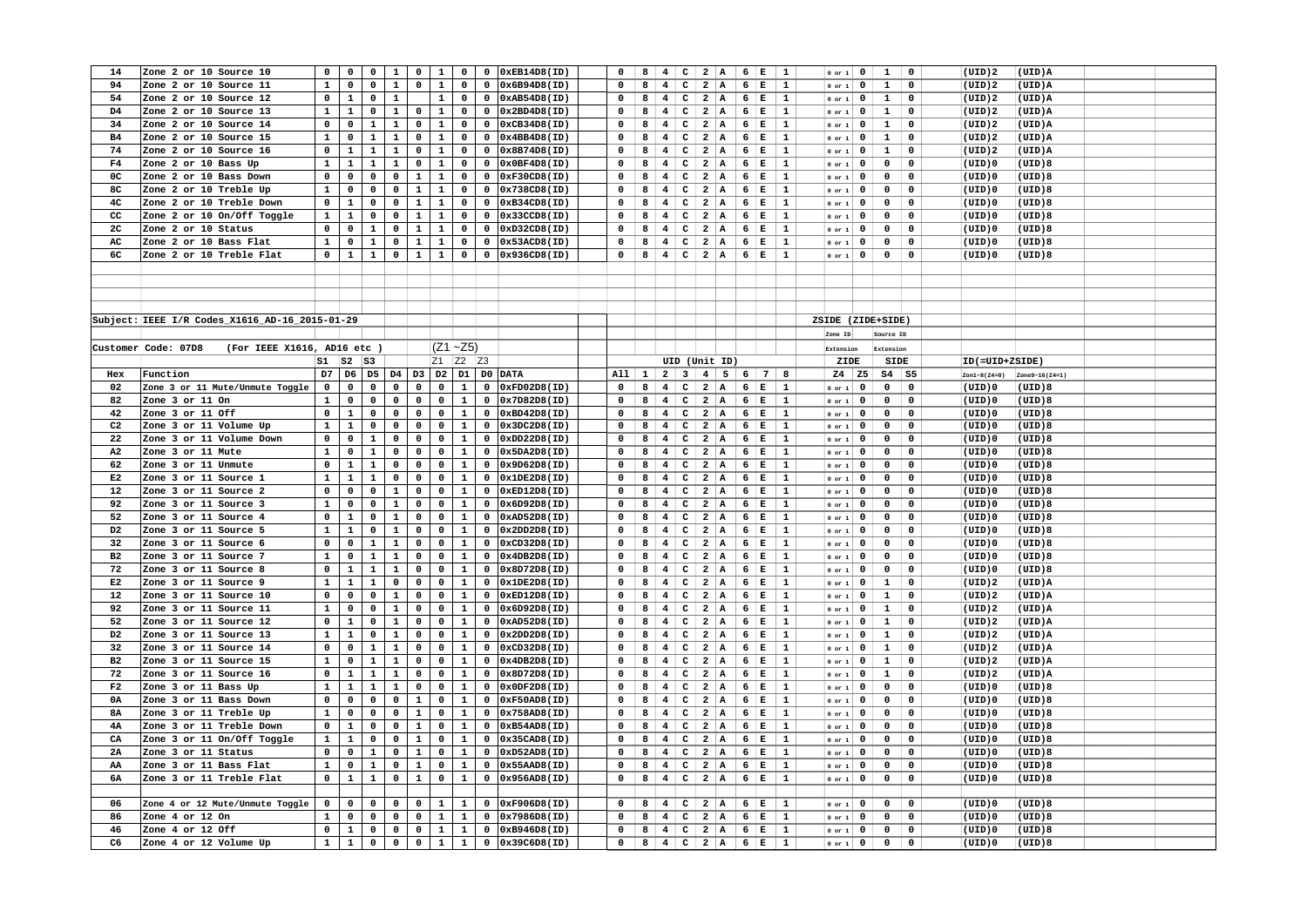| 14             | Zone 2 or 10 Source 10                             | 0              | $\mathbf{o}$   | $\mathbf{o}$   | $\mathbf{1}$   | $\mathbf 0$    | $\mathbf{1}$ | $\mathbf 0$  | $\mathbf 0$  | 0xEB14D8(ID)        | 0           | 8            | $\overline{\mathbf{4}}$ | $\mathbf c$                 | $\overline{\mathbf{2}}$ | A               | $6 \mid E$ | $\mathbf{1}$        | $0$ or $1$               |      | $\mathbf 0$<br>$\mathbf{1}$<br>0             | (UID)2         | (UID)A         |  |
|----------------|----------------------------------------------------|----------------|----------------|----------------|----------------|----------------|--------------|--------------|--------------|---------------------|-------------|--------------|-------------------------|-----------------------------|-------------------------|-----------------|------------|---------------------|--------------------------|------|----------------------------------------------|----------------|----------------|--|
| 94             | Zone 2 or 10 Source 11                             | $\mathbf{1}$   | $\mathbf 0$    | $\mathbf 0$    | $\mathbf{1}$   | $\mathbf{0}$   | $\mathbf{1}$ | $\mathbf 0$  | $\mathbf 0$  | 0x6B94D8(ID)        | $\Omega$    | 8            | $4 \quad$               | $\mathbf{C}$                | $\overline{\mathbf{2}}$ | A               | $6 \mid E$ | $\mathbf{1}$        | $0$ or $1$               |      | $\mathbf{0}$<br>$\mathbf{1}$<br>$\mathbf 0$  | (UID)2         | (UID)A         |  |
| 54             | Zone 2 or 10 Source 12                             | $\mathbf 0$    | $\mathbf{1}$   | $\mathbf 0$    | $\mathbf{1}$   |                | $\mathbf{1}$ | 0            | $\mathbf 0$  | 0xAB54D8(ID)        | $\mathbf 0$ | 8            | $\overline{4}$          | $\mathbf{C}$                | $\overline{\mathbf{2}}$ | A               | 6 E        | $\mathbf{1}$        | $0$ or $1$               |      | $\mathbf{0}$<br>$\mathbf{1}$<br>$\mathbf 0$  | (UID)2         | (UID)A         |  |
| D4             | Zone 2 or 10 Source 13                             | $\mathbf{1}$   | $\mathbf{1}$   | $\mathbf 0$    | $\mathbf{1}$   | $\overline{0}$ | $\mathbf{1}$ | $\mathbf{0}$ | $\mathbf{0}$ | 0x2BD4D8(ID)        | $\Omega$    | 8            |                         | $4$   C                     |                         | 2 A             | $6 \mid E$ | $\mathbf{1}$        | $0$ or $1$               |      | $\mathbf{1}$<br>$\mathbf{0}$<br>$\mathbf 0$  | (UID) 2        | (UID)A         |  |
| 34             | Zone 2 or 10 Source 14                             | $\mathbf 0$    | $\mathbf 0$    | $\mathbf{1}$   | $\mathbf{1}$   | $\mathbf 0$    | $\mathbf{1}$ | $\mathbf 0$  | $\mathbf 0$  | 0xCB34D8(ID)        | $\mathbf 0$ | 8            | 4                       | $\mathbf{C}$                | 2 A                     |                 | $6 \mid E$ | $\mathbf{1}$        | $0$ or $1$               |      | $\mathbf{0}$<br>$\mathbf{1}$<br>$\mathbf 0$  | (UID)2         | (UID)A         |  |
| B4             | Zone 2 or 10 Source 15                             | $\mathbf 1$    | $\mathbf 0$    | $\mathbf{1}$   | $\mathbf 1$    | $\mathbf 0$    | $\mathbf{1}$ | $\mathbf 0$  | $\mathbf 0$  | 0x4BB4D8(ID)        | $\mathbf 0$ | 8            | 4 <sup>1</sup>          | $\mathbf{C}$                | $2 \mid A$              |                 | $6 \mid E$ | $\mathbf{1}$        | $0$ or $1$               |      | $\mathbf{1}$<br>$\mathbf 0$<br>$\mathbf 0$   | (UID)2         | (UID)A         |  |
| 74             | Zone 2 or 10 Source 16                             | $\mathbf 0$    | $\mathbf{1}$   | $\mathbf{1}$   | $\mathbf{1}$   | 0              | $\mathbf{1}$ | 0            | $\mathbf 0$  | 0x8B74D8(ID)        | $\mathbf 0$ | 8            | $\overline{4}$          | c                           | $\overline{a}$          | İΑ              | $6 \mid E$ | 1                   | $0$ or $1$               |      | $\mathbf 0$<br>$\mathbf{1}$<br>$\mathbf 0$   | (UID)2         | (UID)A         |  |
| F4             | Zone 2 or 10 Bass Up                               | $\mathbf 1$    | $\mathbf 1$    | $\mathbf 1$    | $\mathbf 1$    | $\mathbf 0$    | $\mathbf{1}$ | $\mathbf 0$  | $\mathbf 0$  | 0x0BF4D8(ID)        | $\mathbf 0$ | 8            | 4 <sup>1</sup>          | $\mathbf{C}$                | $2 \mid A$              |                 | $6 \mid E$ | $\mathbf{1}$        | $0$ or $1$               |      | $\mathbf 0$<br>$\mathbf 0$<br>$\mathbf 0$    | $(UID)$ 0      | (UID)8         |  |
| 0C             | Zone 2 or 10 Bass Down                             | $\mathbf 0$    | $\mathbf 0$    | $\mathbf 0$    | $\mathbf 0$    | $\mathbf{1}$   | $\mathbf{1}$ | $\mathbf 0$  | $\mathbf 0$  | 0xF30CD8(ID)        | $\Omega$    | 8            | $\overline{4}$          | $\mathbf{C}$                | $\overline{\mathbf{2}}$ | A               | $6 \mid E$ | $\mathbf{1}$        | $0$ or $1$               |      | $\mathbf 0$<br>0<br>$\mathbf 0$              | (UID)0         | (UID)8         |  |
| 8C             | Zone 2 or 10 Treble Up                             | $\mathbf 1$    | $\mathbf 0$    | $\mathsf{o}\,$ | $\mathbf 0$    | $\mathbf{1}$   | $\mathbf{1}$ | $\mathbf 0$  | $\mathbf 0$  | 0x738CD8(ID)        | $\mathbf 0$ | 8            | 4                       | $\mathtt{C}$                | 2 A                     |                 | $6 \mid E$ | $\mathbf{1}$        | $0$ or $1$               |      | $\mathbf 0$<br>$\mathbf 0$<br>$\mathbf 0$    | (UID)0         | (UID)8         |  |
| 4 <sup>c</sup> | Zone 2 or 10 Treble Down                           | $\mathbf 0$    | $\mathbf{1}$   | $\mathbf 0$    | $\mathbf 0$    | $\mathbf{1}$   | $\mathbf{1}$ | 0            | $\mathbf 0$  | 0xB34CD8(ID)        | $\Omega$    | 8            | 4                       | $\mathbf c$                 | $\overline{a}$          | A               | $6 \mid E$ | $\mathbf{1}$        |                          |      | $\mathbf 0$<br>0<br>$\mathbf 0$              | (UID)0         | (UID)8         |  |
| cc             | Zone 2 or 10 On/Off Toggle                         | $\mathbf 1$    | $\mathbf 1$    | $\mathbf 0$    | $\mathbf 0$    | $\mathbf{1}$   | $\mathbf{1}$ |              |              | 0x33CCD8(ID)        | $\mathbf 0$ |              | 4 <sup>1</sup>          | $\mathbf{C}$                | $\overline{a}$          | A               | $6 \mid E$ |                     | $0$ or $1$               |      | $\mathbf 0$<br>$\mathsf{o}\,$                | $(UID)$ 0      | (UID)8         |  |
|                |                                                    |                |                |                |                |                |              | $\mathbf 0$  | $\mathbf 0$  |                     |             | 8            |                         |                             |                         |                 |            | 1                   | $0$ or $1$               |      | 0                                            |                |                |  |
| 2 <sub>C</sub> | Zone 2 or 10 Status                                | $\mathbf 0$    | $\mathbf 0$    | $\mathbf 1$    | 0              | $\mathbf{1}$   | $\mathbf{1}$ | $\mathbf 0$  | $\mathbf{0}$ | 0xD32CD8(ID)        | $\Omega$    | 8            | $\overline{4}$          | $\mathbf{C}$                | $2 \mid A$              |                 | $6 \mid E$ | $\mathbf{1}$        | $0$ or $1$               |      | $\mathbf 0$<br>0<br>$\mathbf 0$              | (UID)0         | (UID)8         |  |
| AC             | Zone 2 or 10 Bass Flat                             | $\mathbf{1}$   | $\mathbf 0$    | $\mathbf{1}$   | $\mathbf 0$    | $\mathbf{1}$   | $\mathbf{1}$ | $\mathbf 0$  | $\mathbf 0$  | 0x53ACD8(ID)        | $\mathbf 0$ | 8            | 4 <sub>1</sub>          | $\mathbf c$                 | 2 A                     |                 | 6 E        | $\mathbf{1}$        | $0$ or $1$               |      | 0<br>0<br>$\mathbf 0$                        | (UID)0         | (UID)8         |  |
| 6C             | Zone 2 or 10 Treble Flat                           | $\mathbf 0$    | $\mathbf 1$    | $\mathbf{1}$   | $\mathbf 0$    | $\mathbf{1}$   | $\mathbf{1}$ | $\mathbf 0$  | $\mathbf 0$  | 0x936CD8(ID)        | $\Omega$    | 8            | 4                       |                             | $C$ 2 A                 |                 | 6 E        | $\mathbf{1}$        | $0$ or $1$               |      | $\mathbf 0$<br>$\Omega$<br>$\mathbf 0$       | (UID)0         | (UID)8         |  |
|                |                                                    |                |                |                |                |                |              |              |              |                     |             |              |                         |                             |                         |                 |            |                     |                          |      |                                              |                |                |  |
|                |                                                    |                |                |                |                |                |              |              |              |                     |             |              |                         |                             |                         |                 |            |                     |                          |      |                                              |                |                |  |
|                |                                                    |                |                |                |                |                |              |              |              |                     |             |              |                         |                             |                         |                 |            |                     |                          |      |                                              |                |                |  |
|                |                                                    |                |                |                |                |                |              |              |              |                     |             |              |                         |                             |                         |                 |            |                     |                          |      |                                              |                |                |  |
|                | Subject: IEEE I/R Codes_X1616_AD-16_2015-01-29     |                |                |                |                |                |              |              |              |                     |             |              |                         |                             |                         |                 |            |                     |                          |      | ZSIDE (ZIDE+SIDE)                            |                |                |  |
|                |                                                    |                |                |                |                |                |              |              |              |                     |             |              |                         |                             |                         |                 |            |                     | Zone ID                  |      | Source ID                                    |                |                |  |
|                | (For IEEE X1616, AD16 etc )<br>Customer Code: 07D8 |                |                |                |                |                |              | $(Z1 - Z5)$  |              |                     |             |              |                         |                             |                         |                 |            |                     | Extension                |      | Extension                                    |                |                |  |
|                |                                                    | sı             | $ S2 $ $ S3 $  |                |                |                | Z1 Z2 Z3     |              |              |                     |             |              |                         | UID (Unit ID)               |                         |                 |            |                     |                          | ZIDE | SIDE                                         | ID(=UID+ZSIDE) |                |  |
| Hex            | Function                                           | D7             | D <sub>6</sub> | D <sub>5</sub> | D4             | D3             |              |              |              | D2 D1 D0 DATA       | A11         | $\mathbf{1}$ |                         | $2 \mid 3 \mid$             | $\overline{4}$          | $5 \t6 \t7$     |            | 8                   | $Z4$ $Z5$                |      | $S4$ $S5$                                    | Zon1~8(Z4=0)   | Zone9-16(Z4=1) |  |
| 02             | Zone 3 or 11 Mute/Unmute Toggle                    | $\mathbf 0$    | $\mathbf 0$    | $\mathbf 0$    | $\mathbf 0$    | $\mathbf 0$    | $\mathbf 0$  | $\mathbf{1}$ | $\mathbf 0$  | 0xFD02D8(ID)        | $\mathbf 0$ | 8            | $\overline{4}$          | $\mathtt{C}$                | $\overline{\mathbf{2}}$ | $\, {\bf A}$    | $6 \mid E$ | $\mathbf{1}$        | $0$ or $1$               |      | $\mathbf 0$<br>$\mathbf 0$<br>$\mathbf 0$    | (UID)0         | (UID)8         |  |
| 82             | Zone 3 or 11 On                                    | $\mathbf 1$    | $\mathbf 0$    | $\mathbf 0$    | $\mathbf 0$    | $\mathbf 0$    | $\mathbf 0$  | $\mathbf{1}$ | $\mathbf 0$  | 0x7D82D8(ID)        | $\mathbf 0$ | 8            | 4                       | $\mathtt{C}$                | $\overline{a}$          | A               | $6 \mid E$ | 1                   | $0$ or $1$               |      | $\mathbf 0$<br>$\mathbf 0$<br>0              | $(UID)$ 0      | (UID)8         |  |
| 42             | Zone 3 or 11 Off                                   | $\mathbf 0$    | $\mathbf 1$    | $\mathbf 0$    | $\mathbf 0$    | $\mathbf 0$    | $\mathbf 0$  | $\mathbf{1}$ | $\mathbf 0$  | 0xBD42D8(ID)        | $\Omega$    | 8            | $\overline{4}$          | c                           | $\overline{a}$          | A               | $6 \mid E$ | $\mathbf{1}$        | $0$ or $1$               |      | $\Omega$<br>$\mathbf 0$<br>0                 | (UID)0         | (UID)8         |  |
| C2             | Zone 3 or 11 Volume Up                             | $\mathbf{1}$   | $\mathbf{1}$   | $\mathbf 0$    | 0              | 0              | $\mathbf 0$  | $\mathbf{1}$ | $\mathbf 0$  | 0x3DC2D8(ID)        | $\mathbf 0$ | 8            | 4                       | $\mathbf{C}$                | 2 A                     |                 | $6 \mid E$ | $\mathbf{1}$        | $0$ or $1$               |      | $\mathbf 0$<br>$\mathbf 0$<br>$\mathbf 0$    | (UID)0         | (UID)8         |  |
| 22             | Zone 3 or 11 Volume Down                           | $\mathbf 0$    | $\mathbf 0$    | $\mathbf{1}$   | $\mathbf 0$    | $\mathbf 0$    | $\mathbf 0$  | $\mathbf{1}$ | $\mathbf 0$  | 0xDD22D8(ID)        | $\mathbf 0$ | 8            | $\overline{\mathbf{4}}$ | $\mathtt{C}$                | $\overline{a}$          | A               | $6 \mid E$ | 1                   | $0$ or $1$               |      | $\mathsf{o}\,$<br>$\mathbf 0$<br>$\mathbf 0$ | (UID)0         | (UID)8         |  |
| A2             | Zone 3 or 11 Mute                                  | $\mathbf 1$    | $\mathbf 0$    | $\mathbf 1$    | 0              | 0              | 0            | $\mathbf{1}$ | 0            | 0x5DA2D8(ID)        | $\mathbf 0$ | 8            | 4 <sup>1</sup>          | $\mathbf{C}$                | $\overline{\mathbf{2}}$ | A               | $6 \mid E$ | $\mathbf{1}$        | $0$ or $1$               |      | $\mathbf{0}$<br>0<br>$\mathbf 0$             | (UID)0         | (UID)8         |  |
| 62             | Zone 3 or 11 Unmute                                | $\mathsf{o}\,$ | $\mathbf{1}$   | $\mathbf{1}$   | $\mathbf 0$    | $\mathbf 0$    | $\mathbf 0$  | $\mathbf{1}$ | $\mathbf 0$  | 0x9D62D8(ID)        | $\mathbf 0$ | 8            | $4\overline{ }$         | $\mathtt{C}$                | $\overline{a}$          | A               | 6          | İΕ<br>$\mathbf{1}$  | $0$ or $1$               |      | $\mathbf 0$<br>0<br>$\mathbf 0$              | (UID)0         | (UID)8         |  |
| E2             | Zone 3 or 11 Source 1                              | $\mathbf 1$    | $\mathbf{1}$   | $\mathbf{1}$   | $\mathsf{o}\,$ | $\mathbf 0$    | $\mathbf 0$  | $\mathbf{1}$ | $\mathbf 0$  | 0x1DE2D8(ID)        | $\Omega$    | 8            | 4 <sup>1</sup>          | $\mathbf{C}$                | $\overline{a}$          | A               | 6          | E<br>1              |                          |      | $\mathbf 0$<br>0<br>$\mathbf 0$              | (UID)0         | (UID)8         |  |
| 12             | Zone 3 or 11 Source 2                              | $\mathbf 0$    | $\mathbf 0$    | $\mathbf 0$    | $\mathbf{1}$   | $\mathbf 0$    | $\mathbf{0}$ | $\mathbf{1}$ | $\mathbf 0$  | 0xED12D8(ID)        | $\mathbf 0$ | 8            | $\overline{4}$          | $\mathtt{C}$                | $\overline{a}$          | A               | $6 \mid E$ | 1                   | $0$ or $1$<br>$0$ or $1$ |      | $\mathbf 0$<br>0<br>$\mathbf 0$              | (UID)0         | (UID)8         |  |
| 92             |                                                    |                |                |                |                | 0              |              |              |              |                     | $\Omega$    | 8            |                         |                             |                         |                 |            | 1                   |                          |      | $\mathbf 0$                                  |                |                |  |
|                | Zone 3 or 11 Source 3                              | $\mathbf 1$    | $\mathbf 0$    | $\mathsf{o}\,$ | $\mathbf 1$    |                | 0            | $\mathbf{1}$ | 0            | 0x6D92D8(ID)        |             |              | $\overline{4}$          | c                           | $\overline{a}$          | A               | $6 \mid E$ |                     | $0$ or $1$               |      | $\mathsf{o}\,$<br>$\mathbf 0$                | (UID)0         | (UID)8         |  |
| 52             | Zone 3 or 11 Source 4                              | $\mathbf 0$    | $\mathbf 1$    | $\mathbf 0$    | $\mathbf{1}$   | $\mathbf 0$    | $\mathbf 0$  | $\mathbf{1}$ | $\mathbf 0$  | 0xAD52D8(ID)        | $\mathbf 0$ | 8            | 4                       | $\mathtt{C}$                | $\overline{a}$          | A               | $6 \mid E$ | $\mathbf{1}$        | $0$ or $1$               |      | $\mathsf{o}\,$<br>$\mathbf 0$<br>$\mathbf 0$ | (UID)0         | (UID)8         |  |
| D <sub>2</sub> | Zone 3 or 11 Source 5                              | $\mathbf 1$    | $\mathbf 1$    | $\mathsf{o}\,$ | $\mathbf 1$    | 0              | $\mathbf 0$  | $\mathbf 1$  | 0            | 0x2DD2D8(ID)        | $\Omega$    | 8            | 4 <sub>1</sub>          | $\mathbf{C}$                | $\overline{a}$          | ${\bf A}$       | 6          | E<br>$\mathbf{1}$   | or 1                     |      | $\mathbf 0$<br>0<br>$\mathbf 0$              | (UID)0         | (UID)8         |  |
| 32             | Zone 3 or 11 Source 6                              | 0              | 0              | $\mathbf{1}$   | $\mathbf{1}$   | 0              | $\mathbf 0$  | $\mathbf{1}$ | $\mathbf 0$  | 0xCD32D8(ID)        | 0           | 8            | 4                       | c                           | $\overline{a}$          | $\mathbf{A}$    | $6 \mid E$ | 1                   | $0$ or $1$               |      | $\mathbf 0$<br>0<br>$\mathbf 0$              | (UID)0         | (UID)8         |  |
| B2             | Zone 3 or 11 Source 7                              | $\mathbf 1$    | $\mathbf 0$    | $\mathbf 1$    | $\mathbf 1$    | 0              | 0            | $\mathbf 1$  | 0            | 0x4DB2D8(ID)        | 0           | 8            | $\overline{4}$          | c                           | $\overline{a}$          | A               | 6          | ļЕ.<br>$\mathbf{1}$ | $0$ or $1$               |      | $\mathsf{o}\,$<br>$\mathbf 0$<br>$\mathbf 0$ | (UID)0         | (UID)8         |  |
| 72             | Zone 3 or 11 Source 8                              | $\mathbf 0$    | 1              | $\mathbf{1}$   | $\mathbf{1}$   | 0              | $\mathbf 0$  | $\mathbf{1}$ | $\mathbf 0$  | 0x8D72D8(ID)        | $\mathbf 0$ | 8            | 4                       | $\mathbf c$                 | $\overline{a}$          | A               | $6 \mid E$ | $\mathbf{1}$        | $0$ or $1$               |      | $\mathbf 0$<br>$\mathbf 0$<br>$\mathbf 0$    | (UID)0         | (UID)8         |  |
| E2             | Zone 3 or 11 Source 9                              | $\mathbf 1$    | $\mathbf 1$    | $\mathbf{1}$   | $\mathbf 0$    | $\mathbf 0$    | $\mathbf 0$  | $\mathbf{1}$ | $\mathbf 0$  | 0x1DE2D8(ID)        | 0           | 8            | 4 <sup>1</sup>          | $\mathbf{C}$                | $\overline{\mathbf{2}}$ | A               | $6 \mid E$ | $\mathbf{1}$        | $\circ$ or $1$           |      | $\mathbf{1}$<br>$\mathbf{0}$<br>0            | (UID)2         | (UID)A         |  |
| 12             | Zone 3 or 11 Source 10                             | $\mathbf 0$    | $\mathbf 0$    | $\mathbf 0$    | $\mathbf{1}$   | $\mathbf 0$    | $\mathbf 0$  | $\mathbf{1}$ | $\mathbf 0$  | $0$ xED $12D8$ (ID) | $\Omega$    | 8            | $\overline{4}$          | $\mathbf c$                 | $\overline{a}$          | A               | $6 \mid E$ | $\mathbf{1}$        | $0$ or $1$               |      | $\mathbf 0$<br>$\mathbf{1}$<br>$\mathbf 0$   | (UID)2         | (UID)A         |  |
| 92             | Zone 3 or 11 Source 11                             | $\mathbf 1$    | $\mathbf 0$    | $\mathbf 0$    | $\mathbf 1$    | $\mathbf 0$    | $\mathbf 0$  | $\mathbf 1$  | $\mathbf 0$  | 0x6D92D8(ID)        | 0           | 8            | $\overline{4}$          | c                           | $\overline{a}$          | A               | $6 \mid E$ | 1                   | $0$ or $1$               |      | $\mathbf 0$<br>$\mathbf 1$<br>0              | (UID)2         | (UID)A         |  |
| 52             | Zone 3 or 11 Source 12                             | $\mathbf 0$    | $\mathbf{1}$   | $\mathbf 0$    | $\mathbf{1}$   | $\mathbf 0$    | $\mathbf 0$  | $\mathbf{1}$ | $\mathbf 0$  | 0xAD52D8(ID)        | 0           | 8            | 4                       | $\mathbf c$                 | $\overline{\mathbf{2}}$ | A               | $6 \mid E$ | $\mathbf{1}$        | $0$ or $1$               |      | $\mathbf{1}$<br>$\mathbf 0$<br>$\mathbf 0$   | (UID)2         | (UID)A         |  |
| D2             | Zone 3 or 11 Source 13                             | $\mathbf 1$    | $\mathbf 1$    | $\mathbf 0$    | $\mathbf 1$    | $\mathbf 0$    | $\mathbf 0$  | $\mathbf 1$  | $\mathbf 0$  | 0x2DD2D8(ID)        | $\mathbf 0$ | 8            | $\overline{4}$          | $\mathtt{C}$                | $\overline{a}$          | $\overline{A}$  | 6          | E<br>1              | or 1                     |      | $\mathbf 1$<br>$\mathbf 0$<br>0              | (UID)2         | $(UID)$ A      |  |
| 32             | Zone 3 or 11 Source 14                             | $\mathbf 0$    | $\mathsf{o}\,$ | $\mathbf{1}$   | $\mathbf{1}$   | $\mathbf 0$    | $\mathbf 0$  | $\mathbf{1}$ | $\mathbf 0$  | 0xCD32D8(ID)        | $\Omega$    | 8            | $\overline{4}$          | $\mathtt{C}$                | $2 \mid A$              |                 | $6 \mid E$ | $\mathbf{1}$        | $0$ or $1$               |      | $\mathbf{1}$<br>$\mathbf 0$<br>$\mathbf 0$   | (UID) 2        | (UID)A         |  |
| B2             | Zone 3 or 11 Source 15                             | $\mathbf{1}$   | $\mathbf 0$    | $\mathbf{1}$   | $\mathbf{1}$   | $\mathbf 0$    | $\mathbf 0$  | $\mathbf{1}$ | $\mathbf 0$  | 0x4DB2D8(ID)        | $\mathbf 0$ | 8            | $\overline{4}$          | $\mathbf c$                 | $\overline{a}$          | İΑ              | $6 \mid E$ | 1                   | $0$ or $1$               |      | $\mathbf 1$<br>$\mathbf 0$<br>0              | (UID)2         | (UID)A         |  |
| 72             | Zone 3 or 11 Source 16                             | $\mathbf 0$    | $\mathbf{1}$   | $\mathbf{1}$   | $\mathbf{1}$   | $\mathbf 0$    | $\mathbf 0$  | $\mathbf{1}$ | $\mathbf{0}$ | 0x8D72D8(ID)        | $\Omega$    | 8            | 4                       | $\mathbf{C}$                | $\overline{a}$          | A               | $6 \mid E$ | 1                   | $0$ or $1$               |      | $\mathbf{1}$<br>$\mathbf 0$<br>$\mathbf 0$   | (UID)2         | $(UID)$ A      |  |
| F2             | Zone 3 or 11 Bass Up                               | $\mathbf{1}$   | $\mathbf{1}$   | $\mathbf{1}$   | $\mathbf{1}$   | 0              | $\mathbf 0$  | $\mathbf{1}$ | $\mathbf 0$  | 0x0DF2D8(ID)        | $\mathbf 0$ | 8            | $\overline{4}$          | c                           | $\overline{a}$          | A               | 6          | E<br>1              | $0$ or $1$               |      | $\mathbf 0$<br>$\mathbf 0$<br>$\mathbf 0$    | (UID)0         | (UID)8         |  |
| 0A             | Zone 3 or 11 Bass Down                             | $\mathbf 0$    | $\mathbf 0$    | $\mathbf 0$    | $\mathbf 0$    | $\mathbf{1}$   | $\mathbf 0$  | $\mathbf{1}$ | $\mathbf 0$  | 0xF50AD8(ID)        | $\Omega$    | 8            | $\overline{\mathbf{4}}$ | $\mathbf{C}$                | $\overline{a}$          | A               | $6 \mid E$ | $\mathbf{1}$        | $0$ or $1$               |      | $\mathsf{o}\,$<br>$\mathbf 0$<br>$\mathbf 0$ | $(UID)$ 0      | (UID)8         |  |
| <b>8A</b>      | Zone 3 or 11 Treble Up                             | $\mathbf{1}$   | $\mathbf 0$    | $\mathbf 0$    | $\mathbf 0$    | $\mathbf{1}$   | $\mathbf{0}$ | $\mathbf{1}$ | $\mathbf 0$  | 0x758AD8(ID)        | $\Omega$    | 8            | $\overline{4}$          | c                           | $\overline{\mathbf{2}}$ | A               | $6 \mid E$ | $\mathbf{1}$        | $0$ or $1$               |      | $\mathbf 0$<br>0<br>$\mathbf 0$              | (UID)0         | (UID)8         |  |
| 4A             | Zone 3 or 11 Treble Down                           | $\mathbf 0$    | $\mathbf 1$    | $\mathbf 0$    | $\mathbf 0$    | $\mathbf{1}$   | $\mathbf 0$  | $\mathbf{1}$ | $\mathbf 0$  | 0xB54AD8(ID)        | $\mathbf 0$ | 8            | $\overline{4}$          | $\mathbf{C}$                | $\overline{a}$          | A               | $6 \mid E$ | $\mathbf{1}$        | $0$ or $1$               |      | $\mathbf 0$<br>$\mathbf 0$<br>$\mathbf 0$    | $(UID)$ 0      | (UID)8         |  |
| CA             | Zone 3 or 11 On/Off Toggle                         | $\mathbf{1}$   | $\mathbf{1}$   | $\mathbf 0$    | $\mathbf 0$    | $\mathbf{1}$   | $\mathbf 0$  | $\mathbf{1}$ | 0            | 0x35CAD8(ID)        | $\mathbf 0$ | 8            | $\overline{4}$          | $\mathbf{C}$                | $\overline{\mathbf{2}}$ | A               | $6 \mid E$ | $\mathbf{1}$        | $0$ or $1$               |      | $\mathbf 0$<br>0<br>$\mathbf 0$              | (UID)0         | (UID)8         |  |
| 2A             | Zone 3 or 11 Status                                | $\mathbf 0$    | $\mathbf 0$    | $\mathbf{1}$   | $\mathbf 0$    | $\mathbf{1}$   | $\mathbf 0$  | $\mathbf{1}$ | $\mathbf 0$  | 0xD52AD8(ID)        | $\Omega$    | 8            | 4 <sup>1</sup>          | $\mathbf{C}$                | $2 \mid A$              |                 | $6 \mid E$ | $\mathbf{1}$        | $0$ or $1$               |      | $\mathbf 0$<br>$\mathbf 0$<br>$\mathbf 0$    | $(UID)$ 0      | (UID)8         |  |
| AA             | Zone 3 or 11 Bass Flat                             | $\mathbf{1}$   | $\mathbf 0$    | $\mathbf{1}$   | $\mathbf 0$    | $\mathbf{1}$   | 0            | $\mathbf{1}$ | $\mathbf 0$  | 0x55AAD8(ID)        | $\Omega$    | 8            | $\overline{4}$          | $\mathbf{C}$                | $\overline{\mathbf{2}}$ | A               | $6 \mid E$ | $\mathbf{1}$        | 0 or 1                   |      | 0<br>0<br>$\mathbf 0$                        | (UID)0         | (UID)8         |  |
| 6A             | Zone 3 or 11 Treble Flat                           | $\mathbf 0$    | $\mathbf{1}$   | $\mathbf{1}$   | $\mathbf 0$    | $\mathbf{1}$   | $\mathbf 0$  | $\mathbf{1}$ | $\mathbf 0$  | 0x956AD8(ID)        | $\mathbf 0$ | 8            | 4 <sub>1</sub>          | $\mathbf{C}$                | $2 \mid A$              |                 | $6 \mid E$ | $\mathbf{1}$        | $0$ or $1$               |      | $\mathbf 0$<br>$\mathbf 0$<br>0              | $(UID)$ 0      | (UID)8         |  |
|                |                                                    |                |                |                |                |                |              |              |              |                     |             |              |                         |                             |                         |                 |            |                     |                          |      |                                              |                |                |  |
| 06             | Zone 4 or 12 Mute/Unmute Toggle                    | $\mathbf 0$    | $\mathbf 0$    | $\mathbf 0$    | $\mathbf 0$    | $\mathbf 0$    | $\mathbf{1}$ | $\mathbf{1}$ | $\mathbf{0}$ | 0xF906D8(ID)        | $^{\circ}$  | 8            |                         | $4 \, \mathrm{C}$           | $2 \mid A$              |                 |            | $\mathbf{1}$        |                          |      | $\mathbf 0$<br>$\mathbf 0$                   | $(UID)$ 0      | (UID)8         |  |
|                |                                                    |                |                |                |                |                |              |              |              |                     | $\Omega$    |              |                         |                             |                         |                 | 6 E        |                     | $0$ or $1$               |      | $\mathbf 0$                                  |                | (UID)8         |  |
| 86             | Zone 4 or 12 On                                    | $\mathbf{1}$   | $\mathbf 0$    | $\mathbf 0$    | $\mathbf 0$    | $\mathbf 0$    | $\mathbf{1}$ | $\mathbf{1}$ | $\mathbf 0$  | 0x7986D8(ID)        |             | 8            | $\overline{4}$<br>4     | $\mathbf c$<br>$\mathbf{C}$ | 2 A                     | 2 A             | $6 \mid E$ | $\mathbf{1}$        | $0$ or $1$               |      | $\mathsf{o}\,$<br>0<br>$\mathbf 0$           | $(UID)$ 0      |                |  |
| 46             | Zone 4 or 12 Off                                   | $\mathbf 0$    | $\mathbf{1}$   | $\mathbf 0$    | $\mathbf 0$    | $\mathbf 0$    | $\mathbf{1}$ | $\mathbf{1}$ | $\mathbf 0$  | 0xB946D8(ID)        | 0           | 8            |                         |                             |                         |                 | $6 \mid E$ | $\mathbf{1}$        | $0$ or $1$               |      | $\mathbf 0$<br>0<br>$\mathbf 0$              | (UID)0         | (UID)8         |  |
| C6             | Zone 4 or 12 Volume Up                             | $\mathbf{1}$   | $\mathbf{1}$   | $\mathbf 0$    | $\mathbf 0$    | $\mathbf{0}$   | $\mathbf{1}$ | $\mathbf{1}$ | $\mathbf 0$  | 0x39C6D8(ID)        | $\mathbf 0$ |              |                         |                             |                         | $8$ 4 C 2 A 6 E |            | $\vert$ 1           | $0$ or $1$               |      | $\mathbf 0$<br>$\mathbf 0$<br>$\mathbf{0}$   | (UID)0         | (UID)8         |  |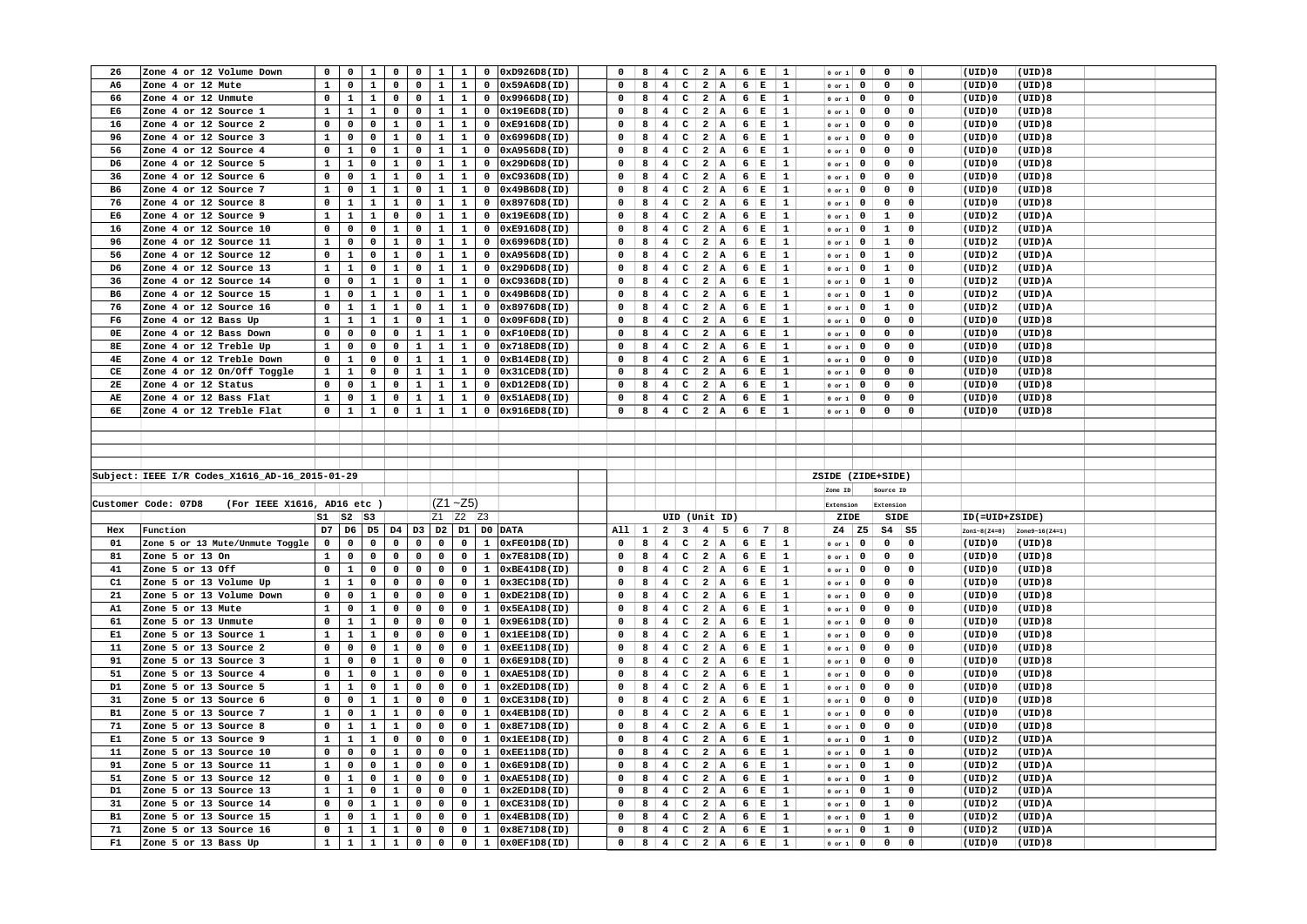| 26        | Zone 4 or 12 Volume Down                           | $\mathbf 0$                 | $\mathbf 0$    | $\mathbf{1}$                 | $\mathbf 0$  | $\mathbf{0}$      | $\mathbf{1}$ | $\mathbf{1}$   |              | $0$ $0xD926D8(ID)$ | $\mathbf 0$  | 8            | 4                       | $\mathbf{C}$            | 2 A                     |                | $6 \mid E$               | $\mathbf{1}$                | $0$ or $1$ | $\mathbf{0}$ | $\mathbf{o}$<br>$\mathbf 0$   | (UID)0           | (UID)8         |  |
|-----------|----------------------------------------------------|-----------------------------|----------------|------------------------------|--------------|-------------------|--------------|----------------|--------------|--------------------|--------------|--------------|-------------------------|-------------------------|-------------------------|----------------|--------------------------|-----------------------------|------------|--------------|-------------------------------|------------------|----------------|--|
| A6        | Zone 4 or 12 Mute                                  | $\mathbf{1}$                | $\mathbf 0$    | $\mathbf{1}$                 | $\mathbf 0$  | $\mathbf 0$       | $\mathbf{1}$ | $\mathbf{1}$   | $\mathbf 0$  | 0x59A6D8(ID)       | $\mathbf 0$  | 8            | 4 <sup>1</sup>          | $\mathbf{C}$            | $\overline{\mathbf{2}}$ | A              | $6 \mid E$               | 1                           | $0$ or $1$ | $\mathbf 0$  | $\mathbf 0$<br>$\mathbf 0$    | (UID)0           | (UID)8         |  |
| 66        | Zone 4 or 12 Unmute                                | $\mathbf 0$                 | $\mathbf{1}$   | $\mathbf{1}$                 | $\mathbf 0$  | $\mathbf 0$       | $\mathbf{1}$ | $\mathbf{1}$   | $\mathbf 0$  | 0x9966D8(ID)       | $\mathbf 0$  | 8            | $\overline{4}$          | $\mathtt{C}$            | $\overline{a}$          | $\overline{A}$ | $6 \mid E$               | $\mathbf{1}$                | $0$ or $1$ | $\mathbf 0$  | $\mathbf 0$<br>$\mathbf 0$    | (UID)0           | (UID)8         |  |
| E6        | Zone 4 or 12 Source 1                              | $\mathbf{1}$                | $\mathbf{1}$   | $\mathbf{1}$                 | $\mathbf 0$  | $\mathbf 0$       | $\mathbf{1}$ | $\mathbf{1}$   | $\mathbf 0$  | 0x19E6D8(ID)       | $\Omega$     | 8            | $4 \, \mathrm{C}$       |                         | 2 A                     |                | 6 E                      | $\mathbf{1}$                | $0$ or $1$ | $\mathbf 0$  | $\mathbf 0$<br>$\mathbf 0$    | (UID)0           | (UID)8         |  |
| 16        | Zone 4 or 12 Source 2                              | $\mathbf 0$                 | $\mathsf{o}\,$ | $\mathsf{o}\,$               | $\mathbf{1}$ | $\mathbf 0$       | $\mathbf{1}$ | $\mathbf{1}$   | $\mathbf 0$  | 0xE916D8(ID)       | $\Omega$     | 8            | $\overline{4}$          | $\mathbf{C}$            | $\overline{a}$          | A.             | $6 \mid E$               | $\mathbf{1}$                | $0$ or $1$ | $\mathbf 0$  | $\mathsf{o}\,$<br>$\mathbf 0$ | (UID)0           | (UID)8         |  |
| 96        | Zone 4 or 12 Source 3                              | $\mathbf 1$                 | $\mathbf 0$    | $\mathbf 0$                  | $\mathbf{1}$ | 0                 | $\mathbf{1}$ | $\mathbf{1}$   | 0            | 0x6996D8(ID)       | $\mathbf 0$  | 8            | 4 <sup>1</sup>          | $\mathbf{C}$            | $\overline{\mathbf{2}}$ | A              | $6 \mid E$               | $\mathbf{1}$                | $0$ or $1$ | $\mathbf 0$  | $\mathsf{o}\,$<br>$\mathbf 0$ | (UID)0           | (UID)8         |  |
| 56        | Zone 4 or 12 Source 4                              | $\mathbf 0$                 | $\mathbf{1}$   | $\mathbf 0$                  | $\mathbf{1}$ | $\mathbf 0$       | $\mathbf{1}$ | $\mathbf{1}$   | $\mathbf 0$  | 0xA956D8(ID)       | $\mathbf 0$  | 8            | 4                       | $\mathbf{C}$            | $\overline{a}$          | A              | 6                        | İΕ<br>$\mathbf{1}$          | $0$ or $1$ | $\mathbf 0$  | $\mathbf 0$<br>$\mathbf 0$    | (UID)0           | (UID)8         |  |
| D6        | Zone 4 or 12 Source 5                              | $\mathbf 1$                 | $\mathbf 1$    | $\mathbf 0$                  | $\mathbf 1$  | $\mathbf 0$       | $\mathbf{1}$ | $\mathbf{1}$   | $\mathbf 0$  | 0x29D6D8(ID)       | $\Omega$     | 8            | 4                       | $\mathtt{C}$            | $\overline{a}$          | $\overline{A}$ | 6                        | $\mathbf E$<br>$\mathbf{1}$ | $0$ or $1$ | $\mathbf 0$  | 0<br>$\mathbf 0$              | (UID)0           | (UID)8         |  |
| 36        | Zone 4 or 12 Source 6                              | $\mathbf 0$                 | $\mathbf 0$    | $\mathbf{1}$                 | $\mathbf{1}$ | $\mathbf 0$       | $\mathbf{1}$ | $\mathbf{1}$   | $\mathbf 0$  | 0xC936D8(ID)       | $\mathbf 0$  | 8            | 4                       | $\mathbf c$             | $\overline{\mathbf{2}}$ | A              | $6 \mid E$               | 1                           | $0$ or $1$ | $\mathbf 0$  | $\mathbf 0$<br>$\mathbf 0$    | (UID)0           | (UID)8         |  |
| <b>B6</b> | Zone 4 or 12 Source 7                              | $\mathbf 1$                 | $\mathbf 0$    | $\mathbf 1$                  | $\mathbf 1$  | 0                 | $\mathbf{1}$ | $\mathbf{1}$   | 0            | 0x49B6D8(ID)       | $\Omega$     | 8            | $\overline{4}$          | $\mathtt{C}$            | $\overline{a}$          | A              | 6 E                      | $\mathbf{1}$                | $0$ or $1$ | $\mathbf 0$  | $\mathsf{o}\,$<br>$\mathbf 0$ | (UID)0           | (UID)8         |  |
| 76        | Zone 4 or 12 Source 8                              | $\mathbf 0$                 | $\mathbf{1}$   | $\mathbf{1}$                 | $\mathbf{1}$ | 0                 | $\mathbf{1}$ | $\mathbf{1}$   | $\mathbf 0$  | 0x8976D8(ID)       | $\mathbf 0$  | 8            | 4                       | $\mathbf c$             | $\overline{a}$          | A              | $6 \mid E$               | $\mathbf{1}$                | $0$ or $1$ | $\mathbf 0$  | $\mathbf 0$<br>$\mathbf 0$    | (UID)0           | (UID)8         |  |
| E6        | Zone 4 or 12 Source 9                              | $\mathbf 1$                 | $\mathbf 1$    | $\mathbf{1}$                 | $\mathbf 0$  | $\mathbf 0$       | $\mathbf{1}$ | $\mathbf{1}$   | 0            | 0x19E6D8(ID)       | 0            | 8            | $\overline{4}$          | c                       | $\overline{a}$          | A              | 6                        | įЕ<br>$\mathbf{1}$          | or 1       | $\mathbf{0}$ | $\mathbf{1}$<br>$\mathbf 0$   | (UID)2           | (UID)A         |  |
| 16        | Zone 4 or 12 Source 10                             | $\mathbf 0$                 | $\mathbf 0$    | $\mathbf 0$                  | $\mathbf{1}$ | $\mathbf 0$       | $\mathbf{1}$ | $\mathbf{1}$   | 0            | 0xE916D8(ID)       | $\Omega$     | 8            | $\overline{4}$          | $\mathtt{C}$            | $\overline{a}$          | A              | $6 \mid E$               | $\mathbf{1}$                |            | $\mathbf 0$  | $\mathbf 1$<br>$\mathbf 0$    |                  | (UID)A         |  |
| 96        | Zone 4 or 12 Source 11                             | $\mathbf 1$                 | $\mathbf 0$    | $\mathbf 0$                  | $\mathbf 1$  | $\mathbf 0$       | $\mathbf{1}$ | $\mathbf 1$    | 0            | 0x6996D8(ID)       | 0            | 8            | $\overline{4}$          |                         | $\overline{a}$          | $\mathbf{A}$   |                          | $\mathbf{1}$                | $0$ or $1$ | $\mathbf 0$  | $\mathbf 1$<br>$\mathbf 0$    | (UID)2<br>(UID)2 | (UID)A         |  |
|           |                                                    |                             |                | $\mathbf 0$                  | $\mathbf{1}$ | $\mathbf 0$       | $\mathbf{1}$ | $\mathbf{1}$   |              |                    |              |              |                         | c                       |                         |                | $6 \mid E$<br>$6 \mid E$ |                             | $0$ or $1$ |              | $\mathbf 1$<br>$\mathbf 0$    |                  |                |  |
| 56        | Zone 4 or 12 Source 12                             | $\mathbf 0$                 | $\mathbf{1}$   |                              |              |                   |              |                | $\mathbf 0$  | 0xA956D8(ID)       | $\mathbf 0$  | 8            | 4                       | $\mathtt{C}$            | $\overline{a}$          | A              |                          | $\mathbf{1}$                | $0$ or $1$ | $\mathbf 0$  |                               | (UID)2           | (UID)A         |  |
| D6        | Zone 4 or 12 Source 13                             | $\mathbf 1$                 | $\mathbf 1$    | $\mathbf 0$                  | $\mathbf 1$  | $\mathbf 0$       | $\mathbf{1}$ | $\mathbf{1}$   | $\mathbf 0$  | 0x29D6D8(ID)       | $\mathbf 0$  | 8            | $\overline{\mathbf{4}}$ | $\mathbf{C}$            | $\overline{a}$          | A              | 6                        | ļЕ.<br>$\mathbf{1}$         | $0$ or $1$ | $\mathbf 0$  | $\mathbf 1$<br>$\mathbf 0$    | (UID)2           | (UID)A         |  |
| 36        | Zone 4 or 12 Source 14                             | $\mathbf 0$                 | $\mathbf 0$    | $\mathbf{1}$                 | $\mathbf{1}$ | $\mathbf 0$       | $\mathbf{1}$ | $\mathbf{1}$   | $\mathbf 0$  | 0xC936D8(ID)       | $\Omega$     | 8            | $\overline{4}$          | c                       | $\overline{a}$          | A              | $6 \mid E$               | $\mathbf{1}$                | $0$ or $1$ | $\mathbf 0$  | $\mathbf{1}$<br>$\mathbf 0$   | (UID)2           | (UID)A         |  |
| B6        | Zone 4 or 12 Source 15                             | $\mathbf 1$                 | $\mathbf 0$    | $\mathbf 1$                  | $\mathbf 1$  | $\mathbf 0$       | $\mathbf{1}$ | $\mathbf 1$    | $\mathbf 0$  | 0x49B6D8(ID)       | $\mathbf 0$  | 8            | $\overline{\mathbf{4}}$ | $\mathtt{C}$            | $\overline{a}$          | A              | $6 \mid E$               | 1                           | $0$ or $1$ | $\mathbf 0$  | $\mathbf 1$<br>$\mathbf 0$    | (UID)2           | (UID)A         |  |
| 76        | Zone 4 or 12 Source 16                             | $\mathbf 0$                 | $\mathbf{1}$   | $\mathbf{1}$                 | $\mathbf{1}$ | $\mathbf 0$       | $\mathbf{1}$ | $\mathbf{1}$   | $\mathbf 0$  | 0x8976D8(ID)       | 0            | 8            | $\overline{\mathbf{4}}$ | c                       | $\overline{\mathbf{2}}$ | A              | $6 \mid E$               | $\mathbf{1}$                | $0$ or $1$ | $\mathbf 0$  | $\mathbf{1}$<br>$\mathbf 0$   | (UID) 2          | (UID)A         |  |
| F6        | Zone 4 or 12 Bass Up                               | $\mathbf 1$                 | $\mathbf 1$    | $\mathbf{1}$                 | $\mathbf 1$  | $\mathbf 0$       | $\mathbf{1}$ | $\mathbf 1$    | $\mathbf 0$  | 0x09F6D8(ID)       | $\mathbf 0$  | 8            | $\overline{\mathbf{4}}$ | $\mathtt{C}$            | $\overline{a}$          | $\overline{A}$ | 6                        | E<br>1                      | or 1       | $\mathbf 0$  | $\mathbf 0$<br>0              | $(UID)$ 0        | (UID)8         |  |
| 0E        | Zone 4 or 12 Bass Down                             | $\mathbf 0$                 | $\mathbf 0$    | $\mathbf 0$                  | $\mathbf 0$  | $\mathbf{1}$      | $\mathbf{1}$ | $\mathbf{1}$   | $\mathbf 0$  | 0xF10ED8(ID)       | $\Omega$     | 8            | $\overline{4}$          | $\mathbf{C}$            | $2 \mid A$              |                | $6 \mid E$               | $\mathbf{1}$                | $0$ or $1$ | $\mathbf{0}$ | $\mathbf 0$<br>$\mathbf 0$    | $(UID)$ 0        | (UID)8         |  |
| 8E        | Zone 4 or 12 Treble Up                             | $\mathbf{1}$                | $\mathbf 0$    | $\mathbf 0$                  | $\mathbf 0$  | $\mathbf{1}$      | $\mathbf{1}$ | $\mathbf{1}$   | $\mathbf 0$  | 0x718ED8(ID)       | 0            | 8            | $\overline{4}$          | $\mathtt{C}$            | $\overline{a}$          | A              | 6 E                      | $\mathbf{1}$                | $0$ or $1$ | $\mathbf 0$  | $\mathbf 0$<br>$\mathbf 0$    | (UID)0           | (UID)8         |  |
| 4E        | Zone 4 or 12 Treble Down                           | $\mathbf 0$                 | $\mathbf{1}$   | $\mathbf 0$                  | $\mathbf 0$  | $\mathbf{1}$      | $\mathbf{1}$ | $\mathbf{1}$   | $\mathbf 0$  | 0xB14ED8(ID)       | $\Omega$     | 8            | 4                       | $\mathbf{C}$            | 2 A                     |                | $6 \mid E$               | $\mathbf{1}$                | $0$ or $1$ | $\mathbf{0}$ | $\mathbf 0$<br>$\mathbf 0$    | $(UID)$ 0        | (UID)8         |  |
| CE        | Zone 4 or 12 On/Off Toggle                         | $\mathbf{1}$                | $\mathbf{1}$   | $\mathbf 0$                  | $\mathbf 0$  | $\mathbf{1}$      | $\mathbf{1}$ | $\mathbf{1}$   | $\mathbf 0$  | 0x31CED8(ID)       | 0            | 8            | $\overline{\mathbf{4}}$ | c                       | $\overline{a}$          | A              | $6 \mid E$               | 1                           | $0$ or $1$ | $\mathbf 0$  | 0<br>$\mathbf 0$              | (UID)0           | (UID)8         |  |
| 2E        | Zone 4 or 12 Status                                | $\mathbf 0$                 | $\mathbf 0$    | $\mathbf{1}$                 | $\mathbf 0$  | $\mathbf{1}$      | $\mathbf{1}$ | $\mathbf{1}$   | $\mathbf 0$  | 0xD12ED8(ID)       | $\Omega$     | 8            | $\overline{4}$          | $\mathbf{C}$            | $2 \mid A$              |                | $6 \mid E$               | $\mathbf{1}$                | $0$ or $1$ | $\mathbf 0$  | $\mathsf{o}\,$<br>$\mathbf 0$ | (UID)0           | (UID)8         |  |
| AE        | Zone 4 or 12 Bass Flat                             | $\mathbf{1}$                | $\mathbf 0$    | $\mathbf{1}$                 | $\mathbf 0$  | $\mathbf{1}$      | $\mathbf{1}$ | $\mathbf{1}$   | $\mathbf 0$  | 0x51AED8(ID)       | $\mathbf 0$  | 8            | $\overline{4}$          | $\mathbf c$             | $2 \mid A$              |                | $6 \mid E$               | 1                           | $0$ or $1$ | 0            | 0<br>$\mathbf 0$              | (UID)0           | (UID)8         |  |
| 6E        | Zone 4 or 12 Treble Flat                           | $\mathbf{0}$                | $\mathbf{1}$   | $\mathbf{1}$                 | $\mathbf{0}$ | $\mathbf{1}$      | $\mathbf{1}$ | $\mathbf{1}$   |              | $0$ 0x916ED8(ID)   | $\mathbf 0$  | 8            | $\overline{4}$          |                         | $C$ 2 A                 |                | $6 \mid E$               | $\mathbf{1}$                | $0$ or $1$ | $\mathbf{0}$ | $\mathbf 0$<br>$\mathbf 0$    | $(UID)$ 0        | (UID)8         |  |
|           |                                                    |                             |                |                              |              |                   |              |                |              |                    |              |              |                         |                         |                         |                |                          |                             |            |              |                               |                  |                |  |
|           |                                                    |                             |                |                              |              |                   |              |                |              |                    |              |              |                         |                         |                         |                |                          |                             |            |              |                               |                  |                |  |
|           |                                                    |                             |                |                              |              |                   |              |                |              |                    |              |              |                         |                         |                         |                |                          |                             |            |              |                               |                  |                |  |
|           |                                                    |                             |                |                              |              |                   |              |                |              |                    |              |              |                         |                         |                         |                |                          |                             |            |              |                               |                  |                |  |
|           |                                                    |                             |                |                              |              |                   |              |                |              |                    |              |              |                         |                         |                         |                |                          |                             |            |              |                               |                  |                |  |
|           | Subject: IEEE I/R Codes X1616 AD-16 2015-01-29     |                             |                |                              |              |                   |              |                |              |                    |              |              |                         |                         |                         |                |                          |                             |            |              | ZSIDE (ZIDE+SIDE)             |                  |                |  |
|           |                                                    |                             |                |                              |              |                   |              |                |              |                    |              |              |                         |                         |                         |                |                          |                             | Zone ID    |              | Source ID                     |                  |                |  |
|           |                                                    |                             |                |                              |              |                   |              |                |              |                    |              |              |                         |                         |                         |                |                          |                             |            |              |                               |                  |                |  |
|           | Customer Code: 07D8<br>(For IEEE X1616, AD16 etc ) |                             |                |                              |              |                   |              | $(Z1 - Z5)$    |              |                    |              |              |                         |                         |                         |                |                          |                             | Extension  |              | Extension                     |                  |                |  |
|           |                                                    | $s_{1}$                     | $ S2 $ $ S3 $  |                              |              |                   |              | Z1 Z2 Z3       |              |                    |              |              | UID (Unit ID)           |                         |                         |                |                          |                             | ZIDE       |              | SIDE                          | ID(=UID+ZSIDE)   |                |  |
| Hex       | Function                                           | D7                          | D <sub>6</sub> | D <sub>5</sub>               | D4           |                   | D3 D2        |                |              | D1 D0 DATA         | A11          | $\mathbf{1}$ | 2 <sup>1</sup>          | $\overline{\mathbf{3}}$ | $\overline{4}$          | 5 <sup>1</sup> | 6 7                      | 8                           | $Z4$ $Z5$  |              | $\mathbf{S4}$<br><b>S5</b>    | $Zon1-8( Z4=0)$  | Zone9~16(Z4=1) |  |
| 01        | Zone 5 or 13 Mute/Unmute Toggle                    | $\mathbf 0$                 | $\mathbf 0$    | $\mathbf 0$                  | 0            | $\mathbf 0$       | $\mathbf 0$  | $\mathbf 0$    | $\mathbf{1}$ | 0xFE01D8(ID)       | $\mathbf{o}$ | 8            | 4                       | $\mathbf{C}$            | $2 \mid A$              |                | $6 \mid E$               | 1                           | $0$ or $1$ | $\mathbf 0$  | $\mathbf 0$<br>$\mathbf 0$    | (UID)0           | (UID)8         |  |
| 81        | Zone 5 or 13 On                                    | $\mathbf 1$                 | $\mathbf 0$    | $\mathbf 0$                  | $\mathbf 0$  | 0                 | $\mathbf 0$  | $\mathbf 0$    | $\mathbf{1}$ | 0x7E81D8(ID)       | $\mathbf{o}$ | 8            | $\overline{4}$          | $\mathtt{C}$            | $\overline{a}$          | A              | $6 \mid E$               | 1                           | $0$ or $1$ | $\mathbf 0$  | $\mathsf{o}\,$<br>0           | $(UID)$ 0        | (UID)8         |  |
| 41        | Zone 5 or 13 Off                                   | $\mathbf 0$                 | $\mathbf 1$    | $\mathbf 0$                  | $\mathbf 0$  | $\mathbf 0$       | $\mathbf 0$  | $\mathbf 0$    | $\mathbf{1}$ | 0xBE41D8(ID)       | $\Omega$     | 8            | 4                       | $\mathbf{C}$            | $\overline{a}$          | A              | $6 \mid E$               | 1                           | $0$ or $1$ | $\mathbf 0$  | $\mathbf 0$<br>$\mathbf 0$    | (UID)0           | (UID)8         |  |
| C1        | Zone 5 or 13 Volume Up                             | $\mathbf 1$                 | $\mathbf 1$    | $\mathbf 0$                  | $\mathbf 0$  | $\mathbf 0$       | $\mathbf 0$  | $\mathbf 0$    | $\mathbf{1}$ | 0x3EC1D8(ID)       | 0            | 8            | 4                       | $\mathbf{C}$            | $2 \mid A$              |                | $6 \mid E$               | $\mathbf{1}$                | $0$ or $1$ | $\mathbf 0$  | $\mathsf{o}\,$<br>0           | (UID)0           | (UID)8         |  |
| 21        | Zone 5 or 13 Volume Down                           | $\mathbf 0$                 | $\mathbf 0$    | $\mathbf{1}$                 | $\mathbf 0$  | $\mathbf 0$       | $\mathbf 0$  | $\mathbf{0}$   | $\mathbf{1}$ | 0xDE21D8(ID)       | $\Omega$     | 8            | $\overline{\mathbf{4}}$ | $\mathbf{C}$            | $\overline{a}$          | A              | $6 \mid E$               | 1                           | $0$ or $1$ | $\mathbf{0}$ | $\mathbf 0$<br>$\mathbf 0$    | (UID)0           | (UID)8         |  |
| A1        | Zone 5 or 13 Mute                                  | $\mathbf{1}$                | $\mathbf 0$    | $\mathbf 1$                  | $\mathbf 0$  | 0                 | $\mathbf 0$  | $\mathbf{0}$   | $\mathbf{1}$ | 0x5EA1D8(ID)       | 0            | 8            | $\overline{4}$          | $\mathbf{C}$            | $\overline{a}$          | A              | $6 \mid E$               | 1                           | $0$ or $1$ | $\mathbf 0$  | 0<br>0                        | (UID)0           | (UID)8         |  |
| 61        | Zone 5 or 13 Unmute                                | $\mathbf 0$                 | $\mathbf{1}$   | $\mathbf{1}$                 | $\mathbf 0$  | $\mathbf 0$       | $\mathbf 0$  | $\mathbf{0}$   | $\mathbf{1}$ | 0x9E61D8(ID)       | $\mathbf 0$  | 8            | $\overline{4}$          | $\mathtt{C}$            | $\overline{a}$          | A              | $6 \mid E$               | $\mathbf{1}$                | $0$ or $1$ | $\mathbf{0}$ | $\mathbf 0$<br>$\mathbf 0$    | $(UID)$ 0        | (UID)8         |  |
| E1        | Zone 5 or 13 Source 1                              | $\mathbf{1}$                | $\mathbf{1}$   | $\mathbf{1}$                 | $\mathbf 0$  | $\mathbf 0$       | $\mathbf 0$  | $\mathbf 0$    | $\mathbf{1}$ | 0x1EE1D8(ID)       | $\mathbf 0$  | 8            | $\overline{4}$          | $\mathtt{C}$            | $\overline{a}$          | $\overline{A}$ | 6                        | E<br>$\mathbf{1}$           | or 1       | $\mathbf 0$  | 0<br>$\mathbf 0$              | (UID)0           | (UID)8         |  |
| 11        | Zone 5 or 13 Source 2                              | $\mathbf 0$                 | $\mathbf 0$    | $\mathbf 0$                  | $\mathbf{1}$ | $\mathbf 0$       | $\mathbf 0$  | $\mathbf{0}$   | $\mathbf{1}$ | 0xEE11D8(ID)       | $\Omega$     | 8            | $\overline{\mathbf{4}}$ | $\mathbf{C}$            | $2 \mid A$              |                | $6 \mid E$               | $\mathbf{1}$                | $0$ or $1$ | $\mathbf 0$  | $\mathbf 0$<br>$\mathbf 0$    | $(UID)$ 0        | (UID)8         |  |
| 91        | Zone 5 or 13 Source 3                              | $\mathbf{1}$                | $\mathbf 0$    | $\mathbf 0$                  | $\mathbf{1}$ | $\mathbf 0$       | $\mathbf 0$  | $\mathbf 0$    | $\mathbf{1}$ | 0x6E91D8(ID)       | $\mathbf 0$  | 8            | $\overline{4}$          | $\mathtt{C}$            | $\overline{a}$          | A              | $6 \mid E$               | $\mathbf{1}$                | $0$ or $1$ | $\mathbf 0$  | 0<br>$\mathbf 0$              | (UID)0           | (UID)8         |  |
| 51        | Zone 5 or 13 Source 4                              | $\mathbf 0$                 | $\mathbf{1}$   | $\mathbf 0$                  | $\mathbf{1}$ | $\mathbf 0$       | $\mathbf 0$  | $\mathbf 0$    | $\mathbf{1}$ | 0xAE51D8(ID)       | $\mathbf 0$  | 8            | $\overline{\mathbf{4}}$ | $\mathbf{C}$            | 2 A                     |                | $6 \mid E$               | $\mathbf{1}$                | $0$ or $1$ | $\mathbf{0}$ | $\mathbf 0$<br>$\mathbf 0$    | $(UID)$ 0        | (UID)8         |  |
| D1        | Zone 5 or 13 Source 5                              | $\mathbf{1}$                | $\mathbf{1}$   | $\mathbf 0$                  | $\mathbf{1}$ | 0                 | $\mathbf 0$  | $\mathbf 0$    | $\mathbf{1}$ | 0x2ED1D8(ID)       | $\mathbf 0$  | 8            | $\overline{4}$          | c                       | $\overline{a}$          | A              | 6                        | E<br>$\mathbf{1}$           | $0$ or $1$ | $\mathbf 0$  | 0<br>$\mathbf 0$              | (UID)0           | (UID)8         |  |
| 31        | Zone 5 or 13 Source 6                              | $\mathbf 0$                 | $\mathbf 0$    | $\mathbf{1}$                 | $\mathbf{1}$ | $\mathbf 0$       | $\mathbf 0$  | $\mathbf 0$    | $\mathbf{1}$ | 0xCE31D8(ID)       | $\mathbf 0$  | 8            | $\overline{4}$          | $\mathtt{C}$            | $\overline{a}$          | A              | $6 \mid E$               | $\mathbf{1}$                | $0$ or $1$ | $\mathbf 0$  | $\mathsf{o}\,$<br>$\mathbf 0$ | $(UID)$ 0        | (UID)8         |  |
| B1        | Zone 5 or 13 Source 7                              | $\mathbf{1}$                | $\mathbf 0$    | $\mathbf{1}$                 | $\mathbf{1}$ | 0                 | $\mathbf 0$  | $\mathbf{0}$   | $\mathbf{1}$ | 0x4EB1D8(ID)       | $\Omega$     | 8            | $\overline{4}$          | $\mathtt{c}$            | $\overline{a}$          | A              | 6 $E$                    | $\mathbf{1}$                | $0$ or $1$ | $\mathbf 0$  | $\mathsf{o}\,$<br>$\mathbf 0$ | (UID)0           | (UID)8         |  |
| 71        | Zone 5 or 13 Source 8                              | $\mathbf 0$                 | $\mathbf{1}$   | $\mathbf{1}$                 | $\mathbf{1}$ | $\mathbf 0$       | $\mathbf 0$  | $\mathbf{0}$   | $\mathbf{1}$ | 0x8E71D8(ID)       | $\mathbf 0$  | 8            | $\overline{\mathbf{4}}$ | $\mathbf{C}$            | $\overline{a}$          | A              | $6 \mid E$               | $\mathbf{1}$                | $0$ or $1$ | $\mathbf 0$  | $\mathbf 0$<br>$\mathbf 0$    | $(UID)$ 0        | (UID)8         |  |
| E1        | Zone 5 or 13 Source 9                              | $\mathbf{1}$                | $\mathbf{1}$   | $\mathbf{1}$                 | $\mathbf 0$  | $\mathbf 0$       | $\mathbf 0$  | $\mathbf 0$    | $\mathbf{1}$ | 0x1EE1D8(ID)       | $\mathbf 0$  | 8            | $\overline{4}$          | $\mathtt{C}$            | $\overline{\mathbf{2}}$ | A              | $6 \mid E$               | 1                           | $0$ or $1$ | $\mathbf 0$  | $\mathbf{1}$<br>$\mathbf 0$   | (UID)2           | (UID)A         |  |
| 11        | Zone 5 or 13 Source 10                             | $\mathbf 0$                 | $\mathbf 0$    | $\mathbf 0$                  | $\mathbf{1}$ | $\mathbf 0$       | $\mathbf 0$  | $\overline{0}$ | $\mathbf{1}$ | 0xEE11D8(ID)       | $\mathbf 0$  | 8            | 4                       | $\mathbf{C}$            | $\overline{a}$          | $\vert$ A      | $6 \mid E$               | $\mathbf{1}$                | $0$ or $1$ | $\mathbf 0$  | $\mathbf{1}$<br>$\mathbf 0$   | (UID)2           | (UID)A         |  |
| 91        | Zone 5 or 13 Source 11                             | $\mathbf 1$                 | $\mathbf 0$    | $\mathbf 0$                  | $\mathbf{1}$ | $\mathbf 0$       | $\mathbf 0$  | $\mathbf 0$    | $\mathbf{1}$ | 0x6E91D8(ID)       | $\Omega$     | 8            | $\overline{\mathbf{4}}$ | c                       | $\overline{\mathbf{2}}$ | $\overline{A}$ | $6 \mid E$               | $\mathbf{1}$                | $0$ or $1$ | $\mathbf 0$  | $\mathbf{1}$<br>$\mathbf 0$   | (UID) 2          | (UID)A         |  |
| 51        | Zone 5 or 13 Source 12                             | $\mathbf 0$                 | $\mathbf{1}$   | $\mathbf 0$                  | $\mathbf{1}$ | $\mathbf 0$       | $\mathbf 0$  | $\mathbf 0$    | $\mathbf{1}$ | 0xAE51D8(ID)       | 0            | 8            | 4 <sup>1</sup>          | $\mathtt{C}$            | $\overline{\mathbf{2}}$ | A              | $6 \mid E$               | 1                           | $0$ or $1$ | $\mathbf{0}$ | $\mathbf{1}$<br>0             | (UID)2           | (UID)A         |  |
| D1        | Zone 5 or 13 Source 13                             | $\mathbf 1$                 | $\mathbf 1$    | $\mathbf 0$                  | $\mathbf{1}$ | $\mathbf 0$       | $\mathbf 0$  | $\mathbf 0$    | $\mathbf{1}$ | 0x2ED1D8(ID)       | $\Omega$     | 8            | $\overline{\mathbf{4}}$ | c                       | $\overline{\mathbf{2}}$ | A              | 6                        | E<br>$\mathbf{1}$           | $0$ or $1$ | $\mathbf 0$  | $\mathbf{1}$<br>$\mathbf 0$   | (UID)2           | (UID)A         |  |
| 31        | Zone 5 or 13 Source 14                             | $\mathbf 0$                 | $\mathbf 0$    | $\mathbf{1}$                 | $\mathbf{1}$ | $\mathbf 0$       | $\mathbf 0$  | $\mathbf 0$    | $\mathbf{1}$ | 0xCE31D8(ID)       | 0            | 8            | 4 <sup>1</sup>          | $\mathbf{C}$            | 2 A                     |                | $6 \mid E$               | $\mathbf{1}$                | $0$ or $1$ | $\mathbf 0$  | $\mathbf{1}$<br>$\mathbf 0$   | (UID)2           | (UID)A         |  |
| B1        | Zone 5 or 13 Source 15                             | $\mathbf 1$                 | $\mathbf 0$    | $\mathbf{1}$                 | $\mathbf{1}$ | $\mathbf 0$       | $\mathbf 0$  | $\mathbf 0$    | $\mathbf{1}$ | 0x4EB1D8(ID)       | $\mathbf 0$  | 8            | $\overline{4}$          | $\mathtt{C}$            | $\overline{\mathbf{2}}$ | A              | $6 \mid E$               | $\mathbf{1}$                | $0$ or $1$ | 0            | $\mathbf{1}$<br>$\mathbf 0$   | (UID)2           | (UID)A         |  |
| 71        | Zone 5 or 13 Source 16                             | $\mathbf 0$<br>$\mathbf{1}$ | $\mathbf{1}$   | $\mathbf{1}$<br>$\mathbf{1}$ | $\mathbf{1}$ | 0<br>$\mathsf{o}$ | $\mathbf 0$  | $\mathbf 0$    | $\mathbf{1}$ | 0x8E71D8(ID)       | 0            | 8            | 4<br>$8$ 4 C 2 A 6 E    | $\mathbf{C}$            | 2 A                     |                | 6 E                      | $\mathbf{1}$                | $0$ or $1$ | $\mathbf 0$  | $\mathbf{1}$<br>$\mathbf 0$   | (UID)2           | (UID)A         |  |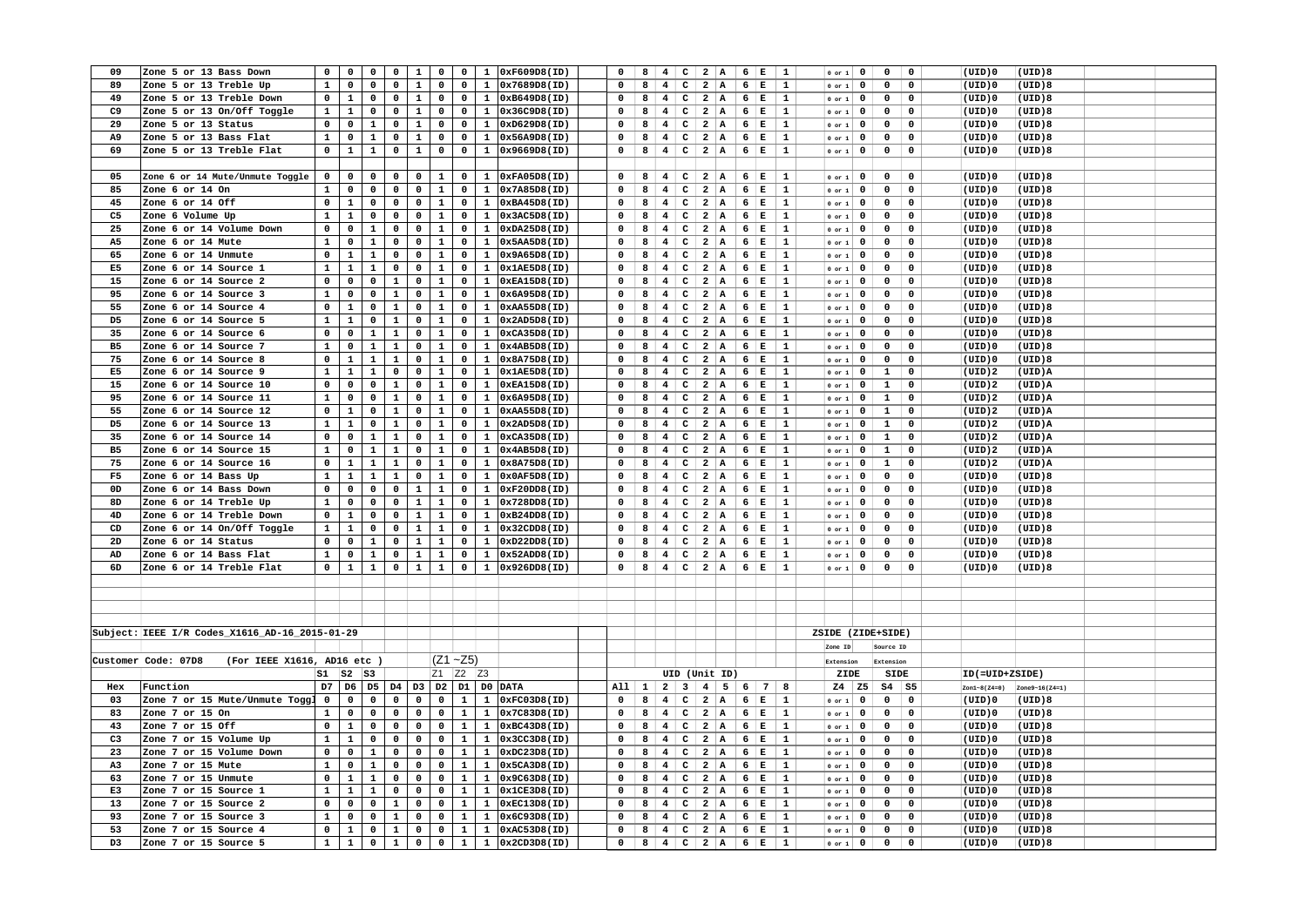| 09             | Zone 5 or 13 Bass Down                             | $\mathbf 0$    | $\mathbf 0$    | 0              | 0              | $\mathbf{1}$   | 0              | $\mathbf 0$    |              | 1 0xF609D8(ID)               | $\mathbf 0$  | 8 | $4 \quad$                                     | $\mathbf{C}$ | $2 \mid A$              |                | 6   E           |             | $\mathbf{1}$ | $0$ or $1$        | $\overline{0}$          | $\mathbf 0$    | $\mathbf 0$  | (UID)0         | (UID)8         |  |
|----------------|----------------------------------------------------|----------------|----------------|----------------|----------------|----------------|----------------|----------------|--------------|------------------------------|--------------|---|-----------------------------------------------|--------------|-------------------------|----------------|-----------------|-------------|--------------|-------------------|-------------------------|----------------|--------------|----------------|----------------|--|
| 89             | Zone 5 or 13 Treble Up                             | $\mathbf{1}$   | $\mathbf 0$    | $\mathbf 0$    | $\mathbf 0$    | $\mathbf{1}$   | $\mathbf 0$    | $\mathbf 0$    |              | $1 \ 0x7689D8(ID)$           | 0            | 8 | $\overline{\mathbf{4}}$                       | $\mathbf c$  | $\mathbf{2}$            | A              | $6 \mid E$      |             | 1            | $0$ or $1$        | $\mathbf 0$             | $\mathbf 0$    | $\mathbf 0$  | (UID)0         | (UID)8         |  |
| 49             | Zone 5 or 13 Treble Down                           | $\mathbf 0$    | $\mathbf{1}$   | $\mathbf 0$    | 0              | $\mathbf{1}$   | 0              | $\mathbf 0$    | $\mathbf{1}$ | 0xB649D8(ID)                 | 0            | 8 | $\overline{4}$                                | $\mathsf{C}$ | $\overline{a}$          | A              | $6 \mid E$      |             | 1            | $0$ or $1$        | $\mathbf 0$             | $\mathbf 0$    | $\mathbf 0$  | (UID)0         | (UID)8         |  |
| C9             | Zone 5 or 13 On/Off Toggle                         | $\mathbf{1}$   | $\mathbf{1}$   | $\mathbf{0}$   | $\mathbf 0$    | $\mathbf{1}$   | $\mathbf 0$    | $\mathbf 0$    |              | $1$ $0x36C9D8(ID)$           | 0            | 8 | $4$ C $2$ A 6 E                               |              |                         |                |                 |             | $\mathbf{1}$ | $0$ or $1$        | $\overline{0}$          | $\overline{0}$ | $\mathbf 0$  | (UID)0         | (UID)8         |  |
| 29             | Zone 5 or 13 Status                                | $\mathbf 0$    | $\mathbf 0$    | $\mathbf{1}$   | 0              | $\mathbf{1}$   | $\mathbf 0$    | $\mathbf 0$    | $\mathbf{1}$ | 0xD629D8(ID)                 | 0            | 8 | 4                                             |              | $C$   2   A             |                | 6 E             |             | 1            | $0$ or $1$        | $\mathbf 0$             | $\mathbf 0$    | $\mathbf 0$  | (UID)0         | (UID)8         |  |
| A9             | Zone 5 or 13 Bass Flat                             | $\mathbf{1}$   | $\mathbf 0$    | $\mathbf 1$    | 0              | $\mathbf 1$    | 0              | $\mathbf 0$    | $\mathbf{1}$ | 0x56A9D8(ID)                 | 0            | 8 | 4                                             | $\mathbf{C}$ | 2 A                     |                | 6 E             |             | 1            |                   | $\mathbf 0$             | $\mathbf 0$    | $\mathbf 0$  | (UID)0         | (UID)8         |  |
|                |                                                    |                |                | $\mathbf{1}$   |                |                |                |                |              |                              |              |   |                                               |              |                         |                |                 |             |              | $0$ or $1$        |                         |                |              |                |                |  |
| 69             | Zone 5 or 13 Treble Flat                           | $\mathbf 0$    | $\mathbf{1}$   |                | 0              | $\mathbf 1$    | $\mathbf 0$    | $\mathbf 0$    | $\mathbf{1}$ | 0x9669D8(ID)                 | 0            | 8 | 4                                             |              | $C$   2   A             |                | $6 \mid E$      |             | 1            | $0$ or $1$        | $\mathbf 0$             | $\mathbf 0$    | $\mathsf{o}$ | (UID)0         | (UID)8         |  |
|                |                                                    |                |                |                |                |                |                |                |              |                              |              |   |                                               |              |                         |                |                 |             |              |                   |                         |                |              |                |                |  |
| 05             | Zone 6 or 14 Mute/Unmute Toggle                    | $\mathbf 0$    | $\mathbf 0$    | $\mathbf 0$    | $\mathbf 0$    | $\mathbf 0$    | 1              | $\mathbf 0$    | $\mathbf{1}$ | 0xFA05D8(ID)                 | 0            | 8 | 4 <sup>1</sup>                                | $\mathbf{C}$ | 2 A                     |                | 6   E           |             | 1            | $0$ or $1$        | $\mathbf 0$             | $\mathbf 0$    | $\mathbf 0$  | (UID)0         | (UID)8         |  |
| 85             | Zone 6 or 14 On                                    | $\mathbf{1}$   | 0              | 0              | 0              | 0              | $\mathbf 1$    | $\mathbf 0$    | $\mathbf{1}$ | 0x7A85D8(ID)                 | $\mathbf 0$  | 8 | $\overline{4}$                                | $\mathbf{C}$ | $\overline{\mathbf{c}}$ | $\mathbf{A}$   | 6 E             |             | 1            | $0$ or $1$        | $\mathbf 0$             | $\mathsf{o}\,$ | $\mathbf 0$  | $(UID)$ 0      | (UID)8         |  |
| 45             | Zone 6 or 14 Off                                   | $\mathbf 0$    | $\mathbf{1}$   | 0              | $\mathbf 0$    | 0              | $\mathbf{1}$   | $\mathbf 0$    | $\mathbf{1}$ | 0xBA45D8(ID)                 | $\mathbf 0$  | 8 | 4                                             | $\mathsf{c}$ | 2 A                     |                | 6 E             |             | 1            | $0$ or $1$        | $\mathbf 0$             | $\mathbf 0$    | $\mathsf{o}$ | (UID)0         | (UID)8         |  |
| C5             | Zone 6 Volume Up                                   | $\mathbf 1$    | $\mathbf 1$    | 0              | $\mathbf 0$    | 0              | $\mathbf 1$    | 0              | $\mathbf{1}$ | 0x3AC5D8(ID)                 | 0            | 8 | $\overline{4}$                                | $\mathbf{C}$ | $\overline{\mathbf{2}}$ | A              | 6 E             |             | 1            | $0$ or $1$        | $\mathbf 0$             | $\mathbf 0$    | $\mathbf 0$  | (UID)0         | (UID)8         |  |
| 25             | Zone 6 or 14 Volume Down                           | 0              | 0              | $\mathbf{1}$   | 0              | 0              | $\mathbf{1}$   | $\mathbf 0$    | $\mathbf{1}$ | 0xDA25D8(ID)                 | 0            | 8 | $\overline{4}$                                | $\mathbf{C}$ | $\overline{a}$          | A              | 6               | Е           | 1            | $0$ or $1$        | $\mathbf 0$             | $\mathbf 0$    | $\mathbf 0$  | (UID)0         | (UID)8         |  |
| A5             | Zone 6 or 14 Mute                                  | $\mathbf 1$    | $\pmb{0}$      | $\mathbf 1$    | 0              | 0              | $\mathbf 1$    | 0              | $\mathbf 1$  | 0x5AA5D8(ID)                 | 0            | 8 | $\overline{\mathbf{4}}$                       | $\mathbf{C}$ | $\overline{\mathbf{c}}$ | A              | 6   E           |             | 1            | $0$ or $1$        | $\mathbf 0$             | $\mathbf 0$    | 0            | $(UID)$ 0      | (UID)8         |  |
| 65             | Zone 6 or 14 Unmute                                | $\mathbf 0$    | $\mathbf{1}$   | $\mathbf{1}$   | $\mathbf 0$    | $\mathbf 0$    | $\mathbf 1$    | $\mathbf 0$    | $\mathbf{1}$ | 0x9A65D8(ID)                 | 0            | 8 | $4\overline{ }$                               | $\mathbf{C}$ | $\overline{\mathbf{2}}$ | A              | $6 \frac{1}{2}$ | $\mathbf E$ | $\mathbf{1}$ | $0$ or $1$        | $\mathbf 0$             | $\mathbf 0$    | $\mathbf 0$  | (UID)0         | (UID)8         |  |
| E5             | Zone 6 or 14 Source 1                              | $\mathbf{1}$   | $\mathbf{1}$   | $\mathbf{1}$   | $\mathbf 0$    | 0              | $\mathbf 1$    | $\mathbf 0$    | $\mathbf{1}$ | 0x1AE5D8(ID)                 | $\mathbf 0$  | 8 | $\overline{4}$                                | $\mathbf{C}$ | $\overline{\mathbf{2}}$ | A              | $6 \mid E$      |             | 1            | $0$ or $1$        | $\mathbf 0$             | $\mathbf 0$    | $\mathbf 0$  | (UID)0         | (UID)8         |  |
| 15             | Zone 6 or 14 Source 2                              | $\mathbf 0$    | $\mathbf 0$    | $\mathbf 0$    | $\mathbf 1$    | 0              | $\mathbf 1$    | $\mathbf 0$    |              | 1 0xEA15D8(ID)               | 0            | 8 | $\overline{4}$                                | $\mathbf{C}$ | 2 A                     |                | $6 \frac{1}{2}$ | $\mathbf E$ | $\mathbf 1$  |                   |                         | $\mathbf 0$    | $\mathbf 0$  | (UID)0         | (UID)8         |  |
|                |                                                    |                |                |                |                |                |                |                |              | 0x6A95D8(ID)                 |              | 8 |                                               |              |                         |                |                 |             |              | $0$ or $1$        | $\mathbf 0$             |                |              |                |                |  |
| 95             | Zone 6 or 14 Source 3                              | $\mathbf{1}$   | $\mathbf 0$    | $\mathbf 0$    | $\mathbf{1}$   | 0              | $\mathbf{1}$   | $\mathbf 0$    | $\mathbf{1}$ |                              | 0            |   | $4\overline{ }$                               | $\mathbf{C}$ | $\overline{a}$          | A              | 6 E             |             | 1            | $0$ or $1$        | $\mathbf 0$             | $\mathbf 0$    | $\mathbf 0$  | (UID)0         | (UID)8         |  |
| 55             | Zone 6 or 14 Source 4                              | 0              | $\mathbf{1}$   | $\mathbf 0$    | $\mathbf{1}$   | 0              | $\mathbf{1}$   | $\mathbf 0$    | $\mathbf{1}$ | 0xAA55D8(ID)                 | 0            | 8 | $\overline{\mathbf{4}}$                       | $\mathbf{C}$ | $2 \mid A$              |                | $6 \mid E$      |             | 1            | $0$ or $1$        | $\mathbf 0$             | $\mathbf 0$    | $\mathbf 0$  | $(UID)$ 0      | (UID)8         |  |
| D5             | Zone 6 or 14 Source 5                              | $\mathbf{1}$   | $\mathbf{1}$   | 0              | $\mathbf{1}$   | 0              | $\mathbf{1}$   | $\mathbf 0$    | $\mathbf{1}$ | 0x2AD5D8(ID)                 | $\mathbf 0$  | 8 | $\overline{4}$                                | $\mathbf{C}$ | $\overline{\mathbf{2}}$ | A              | 6 E             |             | 1            | $0$ or $1$        | $\mathbf 0$             | $\mathbf 0$    | $\mathbf 0$  | (UID)0         | (UID)8         |  |
| 35             | Zone 6 or 14 Source 6                              | $\mathbf 0$    | $\mathbf 0$    | $\mathbf{1}$   | $\mathbf{1}$   | 0              | $\mathbf{1}$   | $\mathbf 0$    |              | 1 0xCA35D8(ID)               | 0            | 8 | 4                                             | $\mathbf{C}$ | $2 \mid A$              |                | $6 \mid E$      |             | $\mathbf{1}$ | $0$ or $1$        | $\mathbf 0$             | $\mathbf 0$    | $\mathbf 0$  | (UID)0         | (UID)8         |  |
| B <sub>5</sub> | Zone 6 or 14 Source 7                              | $\mathbf{1}$   | $\mathbf 0$    | $\mathbf{1}$   | $\mathbf{1}$   | 0              | $\mathbf{1}$   | $\mathbf 0$    |              | 1 0x4AB5D8(ID)               | $\mathbf 0$  | 8 | $\overline{\mathbf{4}}$                       | $\mathsf{C}$ | $\overline{\mathbf{2}}$ | A              | $6 \mid E$      |             | 1            | $0$ or $1$        | $\mathbf 0$             | $\mathsf{o}\,$ | $\pmb{0}$    | $(UID)$ 0      | (UID)8         |  |
| 75             | Zone 6 or 14 Source 8                              | $\mathbf 0$    | $\mathbf{1}$   | $\mathbf{1}$   | $\mathbf{1}$   | 0              | $\mathbf{1}$   | $\mathbf 0$    | $\mathbf{1}$ | 0x8A75D8(ID)                 | $\mathbf 0$  | 8 | 4                                             | $\mathbf{C}$ | 2 A                     |                | $6 \nvert E$    |             | $\mathbf{1}$ | $0$ or $1$        | $\overline{\mathbf{0}}$ | $\overline{0}$ | $\mathbf 0$  | (UID)0         | (UID)8         |  |
| E5             | Zone 6 or 14 Source 9                              | $\mathbf{1}$   | $\mathbf{1}$   | $\mathbf{1}$   | $\mathbf 0$    | 0              | $\mathbf{1}$   | $\mathbf 0$    |              | $1$ $0x1AE5D8(ID)$           | $\mathbf 0$  | 8 | $\overline{4}$                                | $\mathbf{C}$ | $\overline{\mathbf{2}}$ | A              | $6 \mid E$      |             | $\mathbf{1}$ | $0$ or $1$        | $\mathbf 0$             | $\mathbf{1}$   | $\mathbf 0$  | (UID)2         | (UID)A         |  |
| 15             | Zone 6 or 14 Source 10                             | $\mathbf 0$    | $\mathbf 0$    | $\mathbf 0$    | $\mathbf{1}$   | 0              | $\mathbf{1}$   | $\mathbf 0$    |              | 1 0xEA15D8(ID)               | $\Omega$     | 8 | $\overline{4}$                                | $\mathbf{C}$ | $\overline{a}$          | $\overline{A}$ | $6 \mid E$      |             | $\mathbf{1}$ | $0$ or $1$        | $\mathbf 0$             | $\mathbf{1}$   | $\mathbf 0$  | (UID)2         | (UID)A         |  |
| 95             | Zone 6 or 14 Source 11                             | $\mathbf{1}$   | $\mathbf 0$    | 0              | $\mathbf{1}$   | 0              | $\mathbf{1}$   | $\mathbf 0$    | $\mathbf{1}$ | 0x6A95D8(ID)                 | $\mathbf 0$  | 8 | $\overline{\mathbf{4}}$                       | $\mathbf{C}$ | $\overline{\mathbf{2}}$ | A              | $6 \mid E$      |             | 1            | $0$ or $1$        | $\mathbf 0$             | $\mathbf{1}$   | $\mathbf 0$  | (UID)2         | (UID)A         |  |
| 55             | Zone 6 or 14 Source 12                             | $\mathbf 0$    | $\mathbf{1}$   | 0              | $\mathbf{1}$   | 0              | $\mathbf{1}$   | $\mathbf 0$    | $\mathbf{1}$ | 0xAA55D8(ID)                 | 0            | 8 | $\overline{4}$                                | $\mathbf{C}$ | $2 \mid A$              |                | $6 \mid E$      |             | $\mathbf{1}$ | $0$ or $1$        | $\mathbf 0$             | $\mathbf{1}$   | $\mathsf{o}$ | (UID)2         | (UID)A         |  |
| D5             | Zone 6 or 14 Source 13                             | $\mathbf{1}$   | $\mathbf{1}$   | 0              | $\mathbf{1}$   | 0              | $\mathbf{1}$   | $\mathbf 0$    | $\mathbf{1}$ | 0x2AD5D8(ID)                 | 0            | 8 | $\overline{\mathbf{4}}$                       | $\mathsf{C}$ | $\overline{\mathbf{2}}$ | A              | $6 \mid E$      |             | $\mathbf{1}$ |                   | $\mathbf 0$             | $\mathbf{1}$   | $\mathbf 0$  | (UID)2         | (UID)A         |  |
| 35             | Zone 6 or 14 Source 14                             | $\mathbf 0$    | $\mathbf 0$    | $\mathbf{1}$   | $\mathbf{1}$   | 0              |                | $\mathbf 0$    |              | 1 0xCA35D8(ID)               | 0            |   |                                               |              |                         |                |                 |             |              | $0$ or $1$        |                         |                | $\mathbf 0$  |                | (UID)A         |  |
|                |                                                    |                |                |                |                |                | $\mathbf{1}$   |                |              |                              |              | 8 | 4 <sup>1</sup>                                | c            | 2 A                     |                | 6 <sup>1</sup>  | $\mathbf E$ | 1            | $0$ or $1$        | $\mathbf{0}$            | $\mathbf{1}$   |              | (UID)2         |                |  |
| <b>B5</b>      | Zone 6 or 14 Source 15                             | $\mathbf{1}$   | 0              | $\mathbf{1}$   | $\mathbf 1$    | 0              | $\mathbf{1}$   | $\mathbf 0$    | $\mathbf{1}$ | 0x4AB5D8(ID)                 | $\mathbf 0$  | 8 | $\overline{4}$                                | $\mathbf{C}$ | $\overline{a}$          | A              | $6 \mid E$      |             | 1            | $0$ or $1$        | $\mathbf 0$             | $\mathbf 1$    | $\mathbf 0$  | (UID)2         | (UID)A         |  |
| 75             | Zone 6 or 14 Source 16                             | 0              | $\mathbf{1}$   | $\mathbf{1}$   | $\mathbf{1}$   | 0              | $\mathbf{1}$   | $\mathbf 0$    | $\mathbf{1}$ | 0x8A75D8(ID)                 | 0            | 8 | $\overline{4}$                                | $\mathbf{C}$ | $\overline{a}$          | A              | 6 E             |             | 1            | $0$ or $1$        | $\mathbf 0$             | $\mathbf{1}$   | $\mathbf 0$  | (UID)2         | (UID)A         |  |
| F5             | Zone 6 or 14 Bass Up                               | $\mathbf{1}$   | $\mathbf{1}$   | $\mathbf{1}$   | $\mathbf{1}$   | 0              | $\mathbf{1}$   | $\mathbf 0$    | $\mathbf{1}$ | 0x0AF5D8(ID)                 | $\mathbf 0$  | 8 | $\overline{4}$                                | $\mathbf{C}$ | $\overline{a}$          | A              | $6 \frac{1}{2}$ | $\mathbf E$ | 1            | $0$ or $1$        | $\mathbf 0$             | $\mathsf{o}\,$ | $\mathbf 0$  | (UID)0         | (UID)8         |  |
| 0D             | Zone 6 or 14 Bass Down                             | 0              | 0              | 0              | $\mathbf 0$    | $\mathbf{1}$   | $\mathbf{1}$   | $\mathbf 0$    | $\mathbf{1}$ | 0xF20DD8(ID)                 | $\mathbf 0$  | 8 | 4                                             | $\mathbf{C}$ | $2 \mid A$              |                | 6               | Е           | $\mathbf{1}$ | $0$ or $1$        | $\mathbf 0$             | $\mathbf 0$    | $\mathbf 0$  | (UID)0         | (UID)8         |  |
| 8D             | Zone 6 or 14 Treble Up                             | $\mathbf{1}$   | $\mathsf{o}\,$ | 0              | 0              | $\mathbf{1}$   | $\mathbf{1}$   | $\mathbf 0$    | $\mathbf{1}$ | 0x728DD8(ID)                 | 0            | 8 | $\overline{\mathbf{4}}$                       | $\mathtt{C}$ | $\overline{a}$          | $\mathbf{A}$   | $6 \mid E$      |             | 1            | $0$ or $1$        | $\mathbf{o}$            | $\mathsf{o}\,$ | $\mathbf 0$  | (UID)0         | (UID)8         |  |
| 4D             | Zone 6 or 14 Treble Down                           | 0              | $\mathbf 1$    | 0              | 0              | $\mathbf{1}$   | $\mathbf 1$    | $\mathbf 0$    | $\mathbf{1}$ | 0xB24DD8(ID)                 | 0            | 8 | $\overline{\mathbf{4}}$                       | $\mathbf{C}$ | $\overline{a}$          | $\mathbf{A}$   | 6 E             |             | $\mathbf{1}$ | $0$ or $1$        | $\mathbf 0$             | $\mathbf 0$    | $\mathbf 0$  | (UID)0         | (UID)8         |  |
| CD             | Zone 6 or 14 On/Off Toggle                         | $\mathbf{1}$   | $\mathbf{1}$   | 0              | 0              | $\mathbf 1$    | $\mathbf{1}$   | $\mathbf 0$    | $\mathbf{1}$ | 0x32CDD8(ID)                 | 0            | 8 | $\overline{4}$                                | $\mathsf{c}$ | 2 A                     |                | $6 \mid E$      |             | 1            | $0$ or $1$        | $\mathbf 0$             | $\mathsf{o}\,$ | 0            | (UID)0         | (UID)8         |  |
| 2D             | Zone 6 or 14 Status                                | $\mathbf 0$    | $\mathsf{o}\,$ | $\mathbf{1}$   | 0              | $\mathbf{1}$   | $\mathbf 1$    | $\mathsf{o}\,$ | $\mathbf{1}$ | 0xD22DD8(ID)                 | $\Omega$     | 8 | 4                                             | $C \mid 2$   |                         | $\overline{A}$ | $6 \mid E$      |             | $\mathbf{1}$ | $0$ or $1$        | $\mathbf 0$             | $\mathbf 0$    | $\mathbf 0$  | (UID)0         | (UID)8         |  |
| AD             | Zone 6 or 14 Bass Flat                             | $\mathbf{1}$   | 0              | $\mathbf{1}$   | 0              | $\mathbf{1}$   | $\mathbf{1}$   | $\mathbf 0$    | $\mathbf{1}$ | 0x52ADD8(ID)                 | 0            | 8 | $\overline{\mathbf{4}}$                       |              | $C$   2   A             |                | $6 \frac{1}{2}$ | Е           | 1            | $0$ or $1$        | $\mathbf 0$             | 0              | 0            | (UID)0         | (UID)8         |  |
| 6D             | Zone 6 or 14 Treble Flat                           | $\mathbf{0}$   | $\mathbf{1}$   | $\mathbf{1}$   | $\mathbf 0$    | $\mathbf{1}$   | $\mathbf{1}$   | $\mathbf 0$    |              | 1 0x926DD8(ID)               | $\mathbf 0$  | 8 | 4 <sup>1</sup>                                |              | $C$ 2 A                 |                | 6 E             |             | 1            | $0$ or $1$        | $\mathbf 0$             | $\mathbf 0$    | $\mathbf 0$  | (UID)0         | (UID)8         |  |
|                |                                                    |                |                |                |                |                |                |                |              |                              |              |   |                                               |              |                         |                |                 |             |              |                   |                         |                |              |                |                |  |
|                |                                                    |                |                |                |                |                |                |                |              |                              |              |   |                                               |              |                         |                |                 |             |              |                   |                         |                |              |                |                |  |
|                |                                                    |                |                |                |                |                |                |                |              |                              |              |   |                                               |              |                         |                |                 |             |              |                   |                         |                |              |                |                |  |
|                |                                                    |                |                |                |                |                |                |                |              |                              |              |   |                                               |              |                         |                |                 |             |              |                   |                         |                |              |                |                |  |
|                |                                                    |                |                |                |                |                |                |                |              |                              |              |   |                                               |              |                         |                |                 |             |              |                   |                         |                |              |                |                |  |
|                | Subject: IEEE I/R Codes_X1616_AD-16_2015-01-29     |                |                |                |                |                |                |                |              |                              |              |   |                                               |              |                         |                |                 |             |              | ZSIDE (ZIDE+SIDE) |                         |                |              |                |                |  |
|                |                                                    |                |                |                |                |                |                |                |              |                              |              |   |                                               |              |                         |                |                 |             |              | Zone ID           |                         | Source ID      |              |                |                |  |
|                | (For IEEE X1616, AD16 etc )<br>Customer Code: 07D8 |                |                |                |                |                |                | $(Z1 - Z5)$    |              |                              |              |   |                                               |              |                         |                |                 |             |              | Extension         |                         | Extension      |              |                |                |  |
|                |                                                    |                | $s1$ $s2$ $s3$ |                |                |                |                | Z1 Z2 Z3       |              |                              |              |   | UID (Unit ID)                                 |              |                         |                |                 |             |              | ZIDE              |                         | SIDE           |              | ID(=UID+ZSIDE) |                |  |
| Hex            | Function                                           | D7             | D <sub>6</sub> | D <sub>5</sub> | D4             | D <sub>3</sub> | D <sub>2</sub> |                |              | D1 D0 DATA                   | $All \mid 1$ |   | $2 \mid 3 \mid 4 \mid 5 \mid 6 \mid 7$        |              |                         |                |                 |             | -8           | $Z4$   $Z5$       |                         | $S4$ $S5$      |              | $Zon1-8(Z4=0)$ | Zone9-16(Z4=1) |  |
| 03             | Zone 7 or 15 Mute/Unmute Toggl                     | $\overline{0}$ | $\mathbf 0$    | $\mathbf{0}$   | $\mathbf 0$    | $\mathbf 0$    | $\mathbf 0$    | $\mathbf{1}$   |              | $1$ 0xFC03D8(ID)             | $\mathbf 0$  | 8 | 4 <sup>1</sup>                                | c            | 2 A                     |                | $6 \mid E$      |             | <sup>1</sup> | $0$ or $1$        | $\mathbf 0$             | $\overline{0}$ | $\mathbf 0$  | (UID)0         | (UID)8         |  |
| 83             | Zone 7 or 15 On                                    | $\mathbf{1}$   | $\mathbf 0$    | 0              | 0              | 0              | $\mathbf 0$    | $\mathbf{1}$   | $\mathbf{1}$ | 0x7C83D8(ID)                 | 0            | 8 | $\overline{\mathbf{4}}$                       | $\mathsf{C}$ | $2 \mid A$              |                | $6 \mid E$      |             | 1            | $0$ or $1$        | $\mathbf 0$             | $\mathbf 0$    | $\mathbf 0$  | (UID)0         | (UID)8         |  |
| 43             | Zone 7 or 15 Off                                   | $\mathbf 0$    | $\mathbf{1}$   | $\mathbf 0$    | $\mathbf 0$    | 0              | $\mathbf 0$    | $\mathbf{1}$   | $\mathbf{1}$ | 0xBC43D8(ID)                 | $\mathbf 0$  | 8 | 4                                             | $\mathbf{C}$ | $\overline{a}$          | A              | $6 \mid E$      |             | 1            | $0$ or $1$        | $\mathbf 0$             | $\mathbf 0$    | $\mathbf 0$  | (UID)0         | (UID)8         |  |
| C <sub>3</sub> | Zone 7 or 15 Volume Up                             | $\mathbf{1}$   | $\mathbf{1}$   | $\mathbf 0$    | $\mathbf 0$    | 0              | $\mathbf 0$    | $\mathbf{1}$   | $\mathbf{1}$ | 0x3CC3D8(ID)                 | 0            | 8 | 4                                             | $\mathsf{C}$ | $2 \mid A$              |                | 6 E             |             | 1            | $0$ or $1$        | $\mathbf 0$             | $\mathbf 0$    | $\mathbf 0$  | (UID)0         | (UID)8         |  |
|                |                                                    |                |                |                |                |                | $\mathbf 0$    | $\mathbf{1}$   |              |                              |              |   |                                               |              |                         |                |                 |             |              |                   |                         |                |              |                |                |  |
| 23             | Zone 7 or 15 Volume Down                           | $\mathbf 0$    | $\mathbf 0$    | $\mathbf{1}$   | $\mathbf 0$    | 0              |                |                | $\mathbf{1}$ | 0xDC23D8(ID)                 | 0            | 8 | $\overline{\mathbf{4}}$                       | $\mathsf{C}$ | $\overline{\mathbf{2}}$ | A              | $6 \mid E$      |             | $\mathbf{1}$ | $0$ or $1$        | $\mathbf 0$             | $\mathbf 0$    | $\mathbf 0$  | $(UID)$ 0      | (UID)8         |  |
| A3             | Zone 7 or 15 Mute                                  | $\mathbf{1}$   | $\mathbf 0$    | $\mathbf{1}$   | 0              | 0              | $\mathbf 0$    | $\mathbf{1}$   | $\mathbf{1}$ | 0x5CA3D8(ID)                 | 0            | 8 | $\overline{4}$                                | $\mathbf{C}$ | $\overline{a}$          | A              | 6 E             |             | 1            | $0$ or $1$        | $\mathbf 0$             | $\mathbf 0$    | $\mathsf{o}$ | (UID)0         | (UID)8         |  |
| 63             | Zone 7 or 15 Unmute                                | $\mathbf 0$    | $\mathbf{1}$   | $\mathbf{1}$   | $\mathsf{o}\,$ | 0              | 0              | $\mathbf{1}$   | $\mathbf{1}$ | 0x9C63D8(ID)                 | $\mathbf 0$  | 8 | $\overline{\mathbf{4}}$                       | $\mathbf{C}$ | $\overline{\mathbf{2}}$ | A              | $6 \mid E$      |             | $\mathbf{1}$ | $0$ or $1$        | $\mathbf 0$             | $\mathbf 0$    | $\mathbf 0$  | (UID)0         | (UID)8         |  |
| E3             | Zone 7 or 15 Source 1                              | $\mathbf{1}$   | $\mathbf{1}$   | $\mathbf{1}$   | 0              | 0              | $\mathbf 0$    | $\mathbf{1}$   | $\mathbf{1}$ | 0x1CE3D8(ID)                 | $\Omega$     | 8 | $4\overline{ }$                               | $\mathbf{C}$ | $\overline{2}$          | A              | 6 E             |             | $\mathbf{1}$ | $0$ or $1$        | $\mathbf 0$             | $\mathbf 0$    | $\mathsf{o}$ | (UID)0         | (UID)8         |  |
| 13             | Zone 7 or 15 Source 2                              | $\mathsf{o}\,$ | $\mathsf{o}\,$ | $\mathbf 0$    | $\mathbf{1}$   | $\mathbf 0$    | $\mathbf 0$    | $\mathbf{1}$   | $\mathbf{1}$ | 0xEC13D8(ID)                 | $\mathbf 0$  | 8 | $4 \quad$                                     | $\mathbf{c}$ | 2 A                     |                | $6 \mid E$      |             | $\mathbf{1}$ | $0$ or $1$        | $\mathbf 0$             | $\mathbf 0$    | $\mathbf 0$  | (UID)0         | (UID)8         |  |
| 93             | Zone 7 or 15 Source 3                              | $\mathbf{1}$   | 0              | $\mathbf 0$    | $\mathbf{1}$   | 0              | $\mathbf 0$    | $\mathbf{1}$   | $\mathbf{1}$ | 0x6C93D8(ID)                 |              | 8 | $\overline{\mathbf{4}}$                       | $\mathsf{C}$ | $\overline{\mathbf{2}}$ | A              | $6 \frac{1}{2}$ | $\mathbf E$ | $\mathbf{1}$ | $0$ or $1$        | $\mathbf 0$             | $\mathbf 0$    | $\mathbf 0$  | (UID)0         | (UID)8         |  |
| 53             | Zone 7 or 15 Source 4                              | $\mathbf 0$    | $\mathbf{1}$   | 0              | $\mathbf{1}$   | 0              | 0              | $\mathbf{1}$   | $\mathbf{1}$ | 0xAC53D8(ID)                 | 0            | 8 | 4 <sup>1</sup>                                |              | $C$ 2 A                 |                | $6 \mid E$      |             | 1            | $0$ or $1$        | $\mathbf 0$             | $\mathsf{o}\,$ | 0            | (UID)0         | (UID)8         |  |
|                | Zone 7 or 15 Source 5                              | $\mathbf{1}$   | $\mathbf{1}$   | $\mathbf{0}$   | $\mathbf{1}$   | $\mathbf 0$    | $\mathbf 0$    |                |              | $1 \mid 1 \mid 0x2CD3D8(ID)$ | 0            |   | $8 \mid 4 \mid C \mid 2 \mid A \mid 6 \mid E$ |              |                         |                |                 |             | $\mathbf{1}$ | $0$ or $1$        | $\mathbf{0}$            | $\mathbf 0$    | $\mathbf 0$  | (UID)0         | (UID)8         |  |
| D3             |                                                    |                |                |                |                |                |                |                |              |                              |              |   |                                               |              |                         |                |                 |             |              |                   |                         |                |              |                |                |  |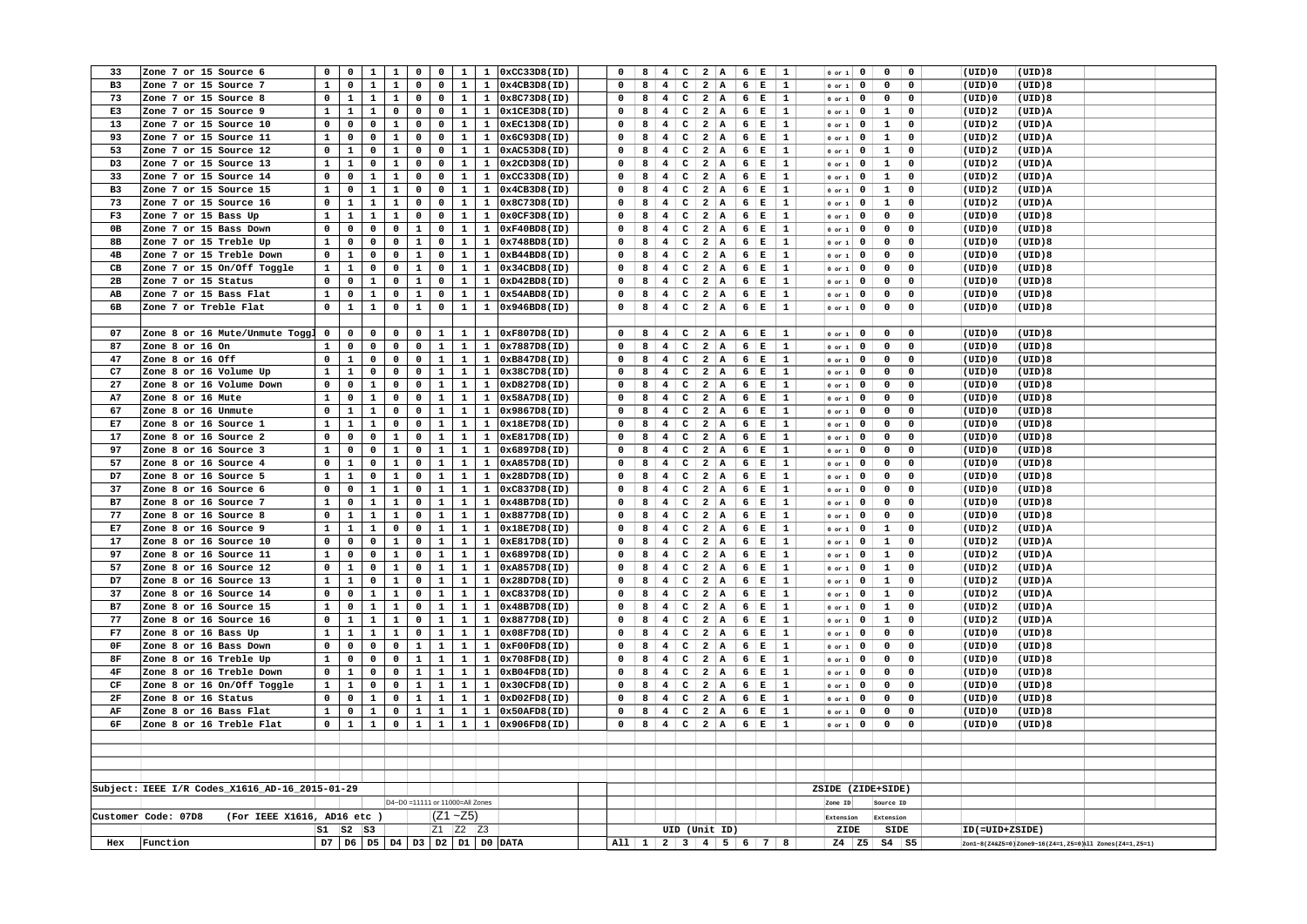| 33                     | Zone 7 or 15 Source 6                              | 0              | $\mathbf 0$    | $\mathbf{1}$ | $\mathbf{1}$ | 0                               | $\mathbf{o}$   | $\mathbf{1}$ | $\mathbf{1}$ | 0xCC33D8(ID)                                 | 0                   | 8 | 4                                       | $\mathsf{C}$<br>$\overline{a}$          | A                |                 | $6 \mid E$               | 1            | $0$ or $1$               | $\mathbf 0$             | 0                   | $\mathbf 0$  | (UID)0         | (UID)8                                                    |  |
|------------------------|----------------------------------------------------|----------------|----------------|--------------|--------------|---------------------------------|----------------|--------------|--------------|----------------------------------------------|---------------------|---|-----------------------------------------|-----------------------------------------|------------------|-----------------|--------------------------|--------------|--------------------------|-------------------------|---------------------|--------------|----------------|-----------------------------------------------------------|--|
| B <sub>3</sub>         | Zone 7 or 15 Source 7                              | $\mathbf{1}$   | $\mathbf 0$    | $\mathbf{1}$ | $\mathbf{1}$ | 0                               | $\mathbf 0$    | $\mathbf{1}$ |              | $1$ 0x4CB3D8(ID)                             | 0                   | 8 | 4 <sup>1</sup>                          | c                                       | $2 \mid A$       |                 | 6 E                      | $\mathbf{1}$ | $0$ or $1$               | $\mathbf 0$             | $\mathbf 0$         | $\mathbf 0$  | (UID)0         | (UID)8                                                    |  |
| 73                     | Zone 7 or 15 Source 8                              | $\mathbf 0$    | $\mathbf{1}$   | $\mathbf{1}$ | $\mathbf{1}$ | $\mathbf 0$                     | $\mathbf 0$    | $\mathbf{1}$ | $\mathbf{1}$ | 0x8C73D8(ID)                                 | 0                   | 8 | $\overline{4}$                          | $\overline{a}$<br>$\mathbf{C}$          | A                |                 | 6 E                      | $\mathbf{1}$ | $0$ or $1$               | $\mathbf 0$             | $\mathbf 0$         | $\mathbf 0$  | (UID)0         | (UID)8                                                    |  |
| E3                     | Zone 7 or 15 Source 9                              | $\mathbf{1}$   | $\mathbf{1}$   | $\mathbf{1}$ | $\mathbf{0}$ | $\mathbf 0$                     | $\mathbf 0$    | $\mathbf{1}$ |              | $1$ 0x1CE3D8(ID)                             | $\Omega$            | 8 | $4$ C 2 A 6 E                           |                                         |                  |                 |                          | $\mathbf{1}$ | $0$ or $1$ 0             |                         | $\mathbf{1}$        | $\mathbf 0$  | (UID)2         | (UID)A                                                    |  |
| 13                     | Zone 7 or 15 Source 10                             | $\mathbf 0$    | $\mathbf 0$    | $\mathbf 0$  | $\mathbf{1}$ | $\mathbf 0$                     | $\mathbf 0$    | $\mathbf{1}$ | $\mathbf{1}$ | 0xEC13D8(ID)                                 | 0                   | 8 | 4                                       | c                                       | 2 A              |                 | 6 E                      | 1            | $0$ or $1$               | $\mathbf 0$             | $\mathbf{1}$        | $\mathbf 0$  | (UID)2         | (UID)A                                                    |  |
| 93                     | Zone 7 or 15 Source 11                             | $\mathbf{1}$   | $\mathsf{o}\,$ | $\mathbf 0$  | $\mathbf{1}$ | 0                               | $\mathsf{o}\,$ | $\mathbf{1}$ | $\mathbf{1}$ | 0x6C93D8(ID)                                 | $\mathbf 0$         | 8 | 4                                       | $\mathbf{C}$                            | $2 \mid A$       |                 | $6 \mid E$               | 1            | $0$ or $1$               | $\overline{\mathbf{0}}$ | $\mathbf{1}$        | $\mathbf 0$  | (UID)2         | (UID)A                                                    |  |
| 53                     | Zone 7 or 15 Source 12                             | 0              | $\mathbf{1}$   | 0            | $\mathbf{1}$ | 0                               | $\mathbf 0$    | $\mathbf{1}$ | $\mathbf{1}$ | 0xAC53D8(ID)                                 | 0                   | 8 | 4                                       | $\mathbf{C}$                            | $2 \mid A$       |                 | $6 \mid E$               | 1            | $0$ or $1$               | $\mathbf 0$             | $\mathbf{1}$        | $\mathbf 0$  | (UID)2         | (UID)A                                                    |  |
| D3                     | Zone 7 or 15 Source 13                             | $\mathbf{1}$   | $\mathbf{1}$   | $\mathbf 0$  | $\mathbf{1}$ | 0                               | $\mathbf 0$    | $\mathbf{1}$ | $\mathbf{1}$ | 0x2CD3D8(ID)                                 | $\mathbf 0$         | 8 | 4 <sup>1</sup>                          | $\mathbf{C}$                            |                  |                 | $2$ A 6 E                | $\mathbf{1}$ | $0$ or $1$               | $\overline{\mathbf{0}}$ | $\mathbf{1}$        | $\mathbf 0$  | (UID)2         | (UID)A                                                    |  |
| 33                     | Zone 7 or 15 Source 14                             | $\mathbf 0$    | $\mathbf 0$    | $\mathbf{1}$ | $\mathbf{1}$ | 0                               | $\mathbf 0$    | $\mathbf{1}$ | $\mathbf{1}$ | 0xCC33D8(ID)                                 | 0                   | 8 | 4                                       | $\mathbf{C}$                            | $2 \mid A$       |                 | 6 E                      | 1            | $0$ or $1$               | $\mathbf 0$             | $\mathbf{1}$        | $\mathbf 0$  | (UID)2         | (UID)A                                                    |  |
| B <sub>3</sub>         | Zone 7 or 15 Source 15                             | $\mathbf{1}$   | $\mathsf{o}\,$ | $\mathbf{1}$ | $\mathbf{1}$ | 0                               | $\mathbf 0$    | $\mathbf{1}$ | $\mathbf{1}$ | 0x4CB3D8(ID)                                 | $\mathbf 0$         | 8 | 4                                       | $\mathbf{C}$                            | 2 A              |                 | $6 \mid E$               | 1            | $0$ or $1$               | $\overline{\mathbf{0}}$ | $\mathbf{1}$        | $\mathbf 0$  | (UID)2         | (UID)A                                                    |  |
| 73                     | Zone 7 or 15 Source 16                             | 0              | $\mathbf{1}$   | $\mathbf{1}$ | $\mathbf{1}$ | 0                               | $\mathbf 0$    | $\mathbf{1}$ | $\mathbf{1}$ | 0x8C73D8(ID)                                 | $\mathbf 0$         | 8 | $\overline{4}$                          | $\mathbf{C}$<br>$\overline{2}$          | ∣ A              |                 | 6 E                      | 1            | $0$ or $1$               | $\mathbf 0$             | $\mathbf{1}$        | $\mathbf 0$  | (UID)2         | (UID)A                                                    |  |
| F3                     | Zone 7 or 15 Bass Up                               | $\mathbf{1}$   | $\mathbf{1}$   | $\mathbf{1}$ | $\mathbf{1}$ | $\mathbf 0$                     | $\mathbf 0$    | $\mathbf{1}$ | $\mathbf{1}$ | 0x0CF3D8(ID)                                 | 0                   | 8 | $\overline{\mathbf{4}}$                 | c <br>$\overline{a}$                    |                  |                 | $A \t6 E$                | 1            | $0$ or $1$               | $\mathbf 0$             | $\mathbf 0$         | $\mathbf 0$  | (UID)0         | (UID)8                                                    |  |
| 0B                     | Zone 7 or 15 Bass Down                             | 0              | $\mathbf 0$    | 0            | 0            | $\mathbf 1$                     | 0              | $\mathbf{1}$ | $\mathbf{1}$ | 0xF40BD8(ID)                                 |                     | 8 | $\overline{4}$                          | $\mathbf{C}$<br>$\overline{a}$          | A                |                 | 6 E                      | $\mathbf{1}$ |                          | $\mathbf 0$             | $\mathbf 0$         | $\mathbf 0$  | (UID)0         | (UID)8                                                    |  |
|                        | Zone 7 or 15 Treble Up                             | $\mathbf{1}$   |                | $\mathbf 0$  |              | $\mathbf{1}$                    |                | $\mathbf{1}$ |              | 0x748BD8(ID)                                 | 0                   | 8 | 4                                       |                                         |                  |                 |                          |              | $0$ or $1$               |                         | $\mathbf 0$         |              |                | (UID)8                                                    |  |
| 8в                     |                                                    |                | $\mathbf 0$    |              | $\mathbf 0$  |                                 | $\mathbf 0$    |              | $\mathbf{1}$ |                                              | $\Omega$            |   |                                         | c <br>$\overline{\mathbf{2}}$           | A                |                 | 6 E                      | 1            | $0$ or $1$               | $\mathbf 0$             |                     | 0            | (UID)0         |                                                           |  |
| 4B                     | Zone 7 or 15 Treble Down                           | $\mathbf 0$    | $\mathbf 1$    | 0            | 0            | $\mathbf 1$                     | $\mathbf 0$    | $\mathbf{1}$ | $\mathbf{1}$ | 0xB44BD8(ID)                                 |                     | 8 | $\overline{4}$                          | $\mathbf{C}$<br>$\overline{a}$          | A                | 6               | $\mathbf E$              | 1            | $0$ or $1$               | $\mathbf 0$             | $\mathbf 0$         | $\mathbf 0$  | (UID)0         | (UID)8                                                    |  |
| CВ                     | Zone 7 or 15 On/Off Toggle                         | $\mathbf{1}$   | $\mathbf 1$    | 0            | 0            | $\mathbf{1}$                    | $\mathbf 0$    | $\mathbf 1$  | $\mathbf{1}$ | 0x34CBD8(ID)                                 | $\mathbf 0$         | 8 | $4 \quad$                               |                                         |                  |                 | $C$ 2 A 6 E              | 1            | $0$ or $1$               | $\mathbf 0$             | $\mathbf 0$         | $\mathsf{o}$ | (UID)0         | (UID)8                                                    |  |
| 2B                     | Zone 7 or 15 Status                                | $\mathbf 0$    | 0              | $\mathbf{1}$ | 0            | $\mathbf{1}$                    | $\mathsf{o}\,$ | $\mathbf{1}$ | $\mathbf{1}$ | 0xD42BD8(ID)                                 |                     | 8 | 4                                       | c <br>$\overline{a}$                    | A)               | 6               | $\mathbf E$              | $\mathbf 1$  | $0$ or $1$               | $\mathbf 0$             | 0                   | $\mathbf 0$  | (UID)0         | (UID)8                                                    |  |
| AB                     | Zone 7 or 15 Bass Flat                             | $\mathbf{1}$   | 0              | $\mathbf{1}$ | 0            | $\mathbf{1}$                    | 0              | $\mathbf{1}$ | $\mathbf{1}$ | 0x54ABD8(ID)                                 | 0                   | 8 | 4                                       | $\overline{2}$<br>$\mathbf{C}$          | A                |                 | 6 E                      | 1            | $0$ or $1$               | $\mathbf 0$             | $\mathbf 0$         | $\mathsf{o}$ | (UID)0         | (UID)8                                                    |  |
| 6В                     | Zone 7 or Treble Flat                              | $\mathbf 0$    | $\mathbf 1$    | $\mathbf{1}$ | 0            | $\mathbf{1}$                    | $\mathsf{o}\,$ | $\mathbf{1}$ |              | $1$ 0x946BD8(ID)                             | 0                   | 8 | 4                                       | $C$ 2 A                                 |                  |                 | $6 \mid E$               | $\mathbf{1}$ | $0$ or $1$               | $\overline{\mathbf{0}}$ | $\mathbf 0$         | $\mathbf 0$  | (UID)0         | (UID)8                                                    |  |
|                        |                                                    |                |                |              |              |                                 |                |              |              |                                              |                     |   |                                         |                                         |                  |                 |                          |              |                          |                         |                     |              |                |                                                           |  |
| 07                     | Zone 8 or 16 Mute/Unmute Toggl                     | $\overline{0}$ | $\mathbf 0$    | 0            | 0            | 0                               | $\mathbf{1}$   | $\mathbf{1}$ |              | 1 0xF807D8(ID)                               | 0                   | 8 | $4 \cdot$                               |                                         |                  |                 | $C$ 2 A 6 E              | 1            | $0$ or $1$ 0             |                         | $\mathbf{O}$        | $\mathbf 0$  | (UID)0         | (UID)8                                                    |  |
| 87                     | Zone 8 or 16 On                                    | $\mathbf{1}$   | $\mathbf 0$    | $\mathbf 0$  | $\mathbf 0$  | 0                               | $\mathbf 1$    | $\mathbf 1$  | $\mathbf{1}$ | 0x7887D8(ID)                                 | 0                   | 8 | $\overline{\mathbf{4}}$                 | $\mathbf{C}$<br>$\overline{a}$          | A                |                 | $6 \mid E$               | $\mathbf 1$  | $0$ or $1$               | $\mathbf 0$             | $\mathbf 0$         | $\mathbf 0$  | (UID)0         | (UID)8                                                    |  |
| 47                     | Zone 8 or 16 Off                                   | $\mathsf{o}\,$ | $\mathbf{1}$   | 0            | $\mathbf 0$  | 0                               | $\mathbf 1$    | $\mathbf{1}$ | $\mathbf{1}$ | 0xB847D8(ID)                                 | 0                   | 8 | 4                                       | $\mathbf{C}$                            | 2 A              |                 | $6 \mid E$               | 1            | $0$ or $1$               | $\mathbf 0$             | $\mathbf 0$         | 0            | (UID)0         | (UID)8                                                    |  |
| C7                     | Zone 8 or 16 Volume Up                             | $\mathbf{1}$   | $\mathbf{1}$   | $\mathbf 0$  | $\mathbf 0$  | 0                               | $\mathbf{1}$   | $\mathbf{1}$ | $\mathbf{1}$ | 0x38C7D8(ID)                                 | $\mathbf 0$         | 8 | $4\phantom{1}$                          | $\mathbf{C}$<br>$\overline{\mathbf{2}}$ | $\overline{A}$   |                 | 6 E                      | $\mathbf{1}$ | $0$ or $1$               | $\mathbf 0$             | $\mathbf 0$         | $\mathbf 0$  | (UID)          | (UID)8                                                    |  |
| 27                     | Zone 8 or 16 Volume Down                           | $\mathbf 0$    | $\mathbf 0$    | $\mathbf{1}$ | 0            | 0                               | $\mathbf 1$    | $\mathbf 1$  | $\mathbf{1}$ | 0xD827D8(ID)                                 | 0                   | 8 | $\overline{4}$                          | $\mathbf{C}$<br>$\overline{\mathbf{2}}$ | $  \mathbf{A}  $ | 6 <sup>1</sup>  | $\mathbf E$              | 1            | $0$ or $1$               | $\mathbf 0$             | $\mathbf 0$         | $\mathsf{o}$ | (UID)0         | (UID)8                                                    |  |
| A7                     | Zone 8 or 16 Mute                                  | $\mathbf{1}$   | $\mathbf 0$    | $\mathbf{1}$ | $\mathbf 0$  | 0                               | $\mathbf{1}$   | $\mathbf{1}$ | $\mathbf{1}$ | 0x58A7D8(ID)                                 | $\Omega$            | 8 | $4\phantom{1}$                          | $\mathbf{C}$<br>$\overline{\mathbf{2}}$ | A                |                 | $6 \mid E$               | 1            | $0$ or $1$               | $\mathbf 0$             | $\mathbf 0$         | $\mathbf 0$  | (UID)0         | (UID)8                                                    |  |
| 67                     | Zone 8 or 16 Unmute                                | $\mathbf 0$    | $\mathbf{1}$   | $\mathbf{1}$ | $\mathbf 0$  | 0                               | $\mathbf{1}$   | $\mathbf{1}$ |              | 1 0x9867D8(ID)                               | 0                   | 8 | 4                                       | $\mathbf{C}$<br>$\overline{a}$          | A                |                 | 6 E                      | 1            | $0$ or $1$               | $\mathbf 0$             | $\mathbf 0$         | $\mathsf{o}$ | (UID)0         | (UID)8                                                    |  |
| E7                     | Zone 8 or 16 Source 1                              | $\mathbf{1}$   | $\mathbf{1}$   | $\mathbf{1}$ | $\mathbf 0$  | 0                               | $\mathbf{1}$   | $\mathbf{1}$ | $\mathbf{1}$ | 0x18E7D8(ID)                                 | 0                   | 8 | $\overline{4}$                          | $\mathsf{C}$<br>$\overline{a}$          | A                |                 | 6 E                      | 1            | $0$ or $1$               | $\mathbf 0$             | $\mathsf{o}\,$      | $\mathbf 0$  | (UID)0         | (UID)8                                                    |  |
| 17                     | Zone 8 or 16 Source 2                              | $\mathbf 0$    | $\mathbf 0$    | $\mathbf 0$  | $\mathbf{1}$ | 0                               | $\mathbf{1}$   | $\mathbf{1}$ |              | 1 0xE817D8(ID)                               | $\mathbf 0$         | 8 | $\overline{4}$<br>$\mathbf{C}$          | $\overline{\mathbf{2}}$                 | A                | $6 \frac{1}{2}$ | Е                        | 1            | $0$ or $1$               | $\mathbf 0$             | $\mathbf 0$         | $\mathsf{o}$ | (UID)0         | (UID)8                                                    |  |
| 97                     | Zone 8 or 16 Source 3                              | $\mathbf{1}$   | $\mathsf{o}\,$ | 0            | $\mathbf{1}$ | 0                               | $\mathbf{1}$   | $\mathbf{1}$ | $\mathbf{1}$ | 0x6897D8(ID)                                 | $\mathbf 0$         | 8 | $\overline{4}$<br>$\mathtt{C}$          | $\overline{a}$                          | A                |                 | $6 \mid E$               | 1            | $0$ or $1$               | $\mathbf 0$             | $\mathsf{o}\,$      | $\mathbf 0$  | (UID)0         | (UID)8                                                    |  |
| 57                     | Zone 8 or 16 Source 4                              | $\mathbf 0$    | $\mathbf{1}$   | 0            | $\mathbf{1}$ | 0                               | $\mathbf{1}$   | $\mathbf{1}$ |              | 1 0xA857D8(ID)                               | $\mathbf 0$         | 8 | $\overline{\mathbf{4}}$                 | $\mathsf{C}$                            | $2 \mid A$       |                 | $6 \mid E$               | 1            | $0$ or $1$               | $\mathbf 0$             | $\mathbf 0$         | $\mathsf{o}$ | (UID)0         | (UID)8                                                    |  |
| D7                     | Zone 8 or 16 Source 5                              | $\mathbf{1}$   | $\mathbf{1}$   | 0            | $\mathbf{1}$ | 0                               | $\mathbf 1$    | $\mathbf{1}$ | $\mathbf{1}$ | 0x28D7D8(ID)                                 | $\pmb{0}$           | 8 | $\overline{\mathbf{4}}$                 | $\overline{a}$<br>$\mathbf{C}$          | A)               |                 | $6 \mid E$               | 1            | $0$ or $1$               | $\mathbf 0$             | $\mathsf{o}\,$      | $\mathbf 0$  | (UID)0         | (UID)8                                                    |  |
| 37                     | Zone 8 or 16 Source 6                              | $\mathbf 0$    | $\mathbf 0$    | $\mathbf{1}$ | $\mathbf{1}$ | $\mathbf 0$                     | $\mathbf{1}$   | $\mathbf{1}$ |              | 1 0xC837D8(ID)                               | $\Omega$            | 8 | $4 \cdot$                               | $C$ 2 A 6 E                             |                  |                 |                          | <sup>1</sup> | $0$ or $1$               | $\overline{\mathbf{0}}$ | $\mathbf 0$         | $\mathbf 0$  | (UID)0         | (UID)8                                                    |  |
| B7                     | Zone 8 or 16 Source 7                              | $\mathbf{1}$   | $\mathbf 0$    | $\mathbf{1}$ | $\mathbf{1}$ | 0                               | $\mathbf{1}$   | $\mathbf{1}$ | $\mathbf{1}$ | 0x48B7D8(ID)                                 | 0                   | 8 | $\mathbf{C}$<br>$4\phantom{1}$          | $\overline{\mathbf{2}}$                 | A                |                 | 6 E                      | 1            | $0$ or $1$               | $\mathbf 0$             | $\mathbf 0$         | $\mathbf 0$  | (UID)0         | (UID)8                                                    |  |
| 77                     | Zone 8 or 16 Source 8                              | $\mathbf 0$    | $\mathbf{1}$   | $\mathbf{1}$ | $\mathbf{1}$ | 0                               | $\mathbf{1}$   | $\mathbf{1}$ | $\mathbf{1}$ | 0x8877D8(ID)                                 | $\Omega$            | 8 | 4<br>$\mathbf{C}$                       | $\overline{a}$                          | A                |                 | $6 \mid E$               | 1            | $0$ or $1$               | $\mathbf 0$             | $\mathsf{o}\,$      | $\mathsf{o}$ | (UID)0         | (UID)8                                                    |  |
| E7                     | Zone 8 or 16 Source 9                              | $\mathbf{1}$   | $\mathbf{1}$   | $\mathbf{1}$ | $\mathbf 0$  | 0                               | $\mathbf{1}$   | $\mathbf{1}$ | $\mathbf{1}$ | 0x18E7D8(ID)                                 | 0                   | 8 | $\overline{4}$                          | $\mathbf{C}$<br>$\overline{\mathbf{2}}$ | A                |                 | $6 \mid E$               | 1            | $0$ or $1$               | $\mathbf 0$             | $\mathbf{1}$        | $\mathbf 0$  | (UID)2         | (UID)A                                                    |  |
| 17                     | Zone 8 or 16 Source 10                             | $\mathbf 0$    | $\mathsf{o}\,$ | $\mathbf 0$  | $\mathbf{1}$ | 0                               | $\mathbf 1$    | $\mathbf{1}$ | $\mathbf{1}$ | 0xE817D8(ID)                                 | $\mathbf 0$         | 8 | $\overline{4}$                          | $\overline{a}$<br> c                    | A                | 6               | $\mathbf E$              | $\mathbf 1$  | $0$ or $1$               | $\mathbf 0$             | $\mathbf{1}$        | $\mathbf 0$  | (UID)2         | (UID)A                                                    |  |
| 97                     | Zone 8 or 16 Source 11                             | $\mathbf{1}$   | $\mathbf 0$    | 0            | $\mathbf{1}$ | 0                               | $\mathbf{1}$   | $\mathbf{1}$ | $\mathbf{1}$ | 0x6897D8(ID)                                 | 0                   | 8 | $\overline{4}$                          | c                                       | 2 A              |                 | 6 E                      | 1            | $0$ or $1$               | $\mathbf 0$             | $\mathbf{1}$        | $\mathbf 0$  | (UID)2         | (UID)A                                                    |  |
| 57                     | Zone 8 or 16 Source 12                             | $\mathbf 0$    | $\mathbf{1}$   | 0            | $\mathbf{1}$ | 0                               | $\mathbf{1}$   | $\mathbf{1}$ | $\mathbf{1}$ | 0xA857D8(ID)                                 | $\mathbf 0$         | 8 | $\overline{\mathbf{4}}$<br>$\mathbf{C}$ | $\overline{\mathbf{2}}$                 | $\overline{A}$   |                 | $6 \mid E$               | 1            |                          | $\mathbf 0$             | $\mathbf{1}$        | $\mathbf 0$  | (UID)2         | (UID)A                                                    |  |
| D7                     | Zone 8 or 16 Source 13                             | $\mathbf{1}$   | $\mathbf{1}$   | 0            | $\mathbf{1}$ | 0                               | $\mathbf{1}$   | $\mathbf{1}$ | $\mathbf{1}$ | 0x28D7D8(ID)                                 | $\Omega$            | 8 | $\overline{4}$                          | $\mathbf{C}$<br>$\overline{2}$          | A                |                 | 6 E                      | $\mathbf{1}$ | $0$ or $1$<br>$0$ or $1$ | $\mathbf 0$             | $\mathbf{1}$        | $\mathsf{o}$ | (UID)2         | (UID)A                                                    |  |
| 37                     | Zone 8 or 16 Source 14                             | $\mathsf{o}\,$ | $\mathsf{o}\,$ | $\mathbf{1}$ | $\mathbf{1}$ | $\mathbf 0$                     | $\mathbf{1}$   | $\mathbf{1}$ | $\mathbf{1}$ | 0xC837D8(ID)                                 | $\mathbf 0$         | 8 | $\overline{\mathbf{4}}$                 | $\mathbf{c}$                            | $2 \mid A$       |                 | $6 \mid E$               | $\mathbf{1}$ | $0$ or $1$               |                         | $\mathbf{1}$        | $\mathbf 0$  | (UID)2         | (UID)A                                                    |  |
|                        |                                                    | $\mathbf{1}$   |                |              |              |                                 |                |              |              |                                              |                     |   |                                         |                                         |                  |                 |                          |              |                          | $\mathbf{0}$            |                     |              |                |                                                           |  |
| B7                     | Zone 8 or 16 Source 15                             |                | 0              | $\mathbf 1$  | $\mathbf 1$  | 0                               | $\mathbf{1}$   | $\mathbf{1}$ | $\mathbf{1}$ | 0x48B7D8(ID)                                 |                     | 8 | $\overline{4}$                          | $\mathbf{C}$<br>$\overline{\mathbf{2}}$ | A                |                 | $6 \mid E$               | $\mathbf 1$  | $0$ or $1$               | $\mathbf 0$             | $\mathbf{1}$        | $\mathbf 0$  | (UID)2         | (UID)A                                                    |  |
| 77                     | Zone 8 or 16 Source 16                             | $\mathbf 0$    | $\mathbf{1}$   | $\mathbf{1}$ | $\mathbf{1}$ | 0                               | $\mathbf{1}$   | $\mathbf{1}$ | $\mathbf{1}$ | 0x8877D8(ID)                                 | 0                   | 8 | $\overline{\mathbf{4}}$                 | $\mathbf{C}$<br>$\overline{a}$          | A                |                 | $6 \mid E$               | 1            | $0$ or $1$               | $\mathbf 0$             | $\mathbf{1}$        | 0            | (UID)2         | (UID)A                                                    |  |
| F7                     | Zone 8 or 16 Bass Up                               | $\mathbf{1}$   | $\mathbf 1$    | $\mathbf{1}$ | $\mathbf{1}$ | 0                               | $\mathbf{1}$   | $\mathbf{1}$ | $\mathbf{1}$ | 0x08F7D8(ID)                                 | $\Omega$            | 8 | 4                                       | $\mathbf{C}$<br>$\overline{a}$          | A                |                 | 6 E                      | 1            | $0$ or $1$               | $\mathbf 0$             | $\mathbf 0$         | $\mathbf 0$  | (UID)0         | (UID)8                                                    |  |
| 0F                     | Zone 8 or 16 Bass Down                             | $\mathbf 0$    | 0              | 0            | $\mathbf 0$  | $\mathbf{1}$                    | $\mathbf 1$    | $\mathbf 1$  | $\mathbf{1}$ | 0xF00FD8(ID)                                 | $\mathbf 0$         | 8 | 4                                       | $\mathbf{c}$                            |                  |                 | $2 \mid A \mid 6 \mid E$ | $\mathbf{1}$ | $0$ or $1$               | $\mathbf 0$             | $\mathbf 0$         | $\mathsf{o}$ | (UID)0         | (UID)8                                                    |  |
| 8F                     | Zone 8 or 16 Treble Up                             | $\mathbf{1}$   | 0              | 0            | 0            | $\mathbf{1}$                    | $\mathbf{1}$   | $\mathbf{1}$ | $\mathbf{1}$ | 0x708FD8(ID)                                 | 0                   | 8 | $\overline{\mathbf{4}}$                 | $\mathsf{C}$<br>$\overline{a}$          | A                | $6 \frac{1}{2}$ | $\mathbf E$              | $\mathbf{1}$ | $0$ or $1$               | $\mathbf 0$             | $\mathbf 0$         | $\mathbf 0$  | (UID)0         | (UID)8                                                    |  |
| $4\,\mathrm{F}$        | Zone 8 or 16 Treble Down                           | $\mathbf 0$    | $\mathbf{1}$   | $\mathbf 0$  | 0            | $\mathbf{1}$                    | $\mathbf{1}$   | $\mathbf{1}$ | $\mathbf{1}$ | 0xB04FD8(ID)                                 | 0                   | 8 | 4                                       | $\overline{2}$<br>$\mathbf{C}$          | A                |                 | 6 E                      | 1            | $0$ or $1$               | $\mathbf 0$             | $\mathbf 0$         | $\mathsf{o}$ | (UID)0         | (UID)8                                                    |  |
| $\mathbb{C}\mathbb{F}$ | Zone 8 or 16 On/Off Toggle                         | $\mathbf{1}$   | $\mathbf{1}$   | 0            | 0            | $\mathbf{1}$                    | $\mathbf{1}$   | $\mathbf 1$  | $\mathbf{1}$ | 0x30CFD8(ID)                                 | 0                   | 8 | $\overline{\mathbf{4}}$                 | $C$   2   A                             |                  |                 | 6 E                      | $\mathbf{1}$ | $0$ or $1$               | $\mathbf 0$             | $\mathbf 0$         | $\mathbf 0$  | (UID)0         | (UID)8                                                    |  |
| 2F                     | Zone 8 or 16 Status                                | $\mathsf{o}\,$ | $\mathbf 0$    | $\mathbf{1}$ | 0            | $\mathbf 1$                     | $\mathbf{1}$   | $\mathbf 1$  | $\mathbf{1}$ | 0xD02FD8(ID)                                 | 0                   | 8 | 4                                       | $C$ 2 A                                 |                  |                 | 6 E                      | $\mathbf{1}$ | or 1                     | $\mathbf 0$             | $\mathbf 0$         | $\mathsf{o}$ | (UID)0         | (UID)8                                                    |  |
| AF                     | Zone 8 or 16 Bass Flat                             | $\mathbf{1}$   | $\mathbf 0$    | $\mathbf{1}$ | 0            | $\mathbf{1}$                    | $\mathbf{1}$   | $\mathbf{1}$ | $\mathbf{1}$ | 0x50AFD8(ID)                                 | 0                   | 8 | 4                                       | $C$ 2 A                                 |                  |                 | $6 \mid E$               | $\mathbf{1}$ | $0$ or $1$               | $\mathbf 0$             | $\mathbf 0$         | $\mathbf 0$  | (UID)0         | (UID)8                                                    |  |
| 6F                     | Zone 8 or 16 Treble Flat                           | $\mathbf 0$    | $\mathbf{1}$   | $\mathbf{1}$ | 0            | $\mathbf 1$                     | $\mathbf 1$    | $\mathbf{1}$ | $\mathbf{1}$ | 0x906FD8(ID)                                 | 0                   | 8 | 4                                       | $C$   2   A                             |                  |                 | 6   E                    | $\mathbf{1}$ | $0$ or $1$               | $\mathbf 0$             | $\mathbf 0$         | $\mathbf 0$  | (UID)0         | (UID)8                                                    |  |
|                        |                                                    |                |                |              |              |                                 |                |              |              |                                              |                     |   |                                         |                                         |                  |                 |                          |              |                          |                         |                     |              |                |                                                           |  |
|                        |                                                    |                |                |              |              |                                 |                |              |              |                                              |                     |   |                                         |                                         |                  |                 |                          |              |                          |                         |                     |              |                |                                                           |  |
|                        |                                                    |                |                |              |              |                                 |                |              |              |                                              |                     |   |                                         |                                         |                  |                 |                          |              |                          |                         |                     |              |                |                                                           |  |
|                        |                                                    |                |                |              |              |                                 |                |              |              |                                              |                     |   |                                         |                                         |                  |                 |                          |              |                          |                         |                     |              |                |                                                           |  |
|                        | Subject: IEEE I/R Codes_X1616_AD-16_2015-01-29     |                |                |              |              |                                 |                |              |              |                                              |                     |   |                                         |                                         |                  |                 |                          |              | ZSIDE (ZIDE+SIDE)        |                         |                     |              |                |                                                           |  |
|                        |                                                    |                |                |              |              | D4~D0 =11111 or 11000=All Zones |                |              |              |                                              |                     |   |                                         |                                         |                  |                 |                          |              | Zone ID                  |                         | Source ID           |              |                |                                                           |  |
|                        | (For IEEE X1616, AD16 etc )<br>Customer Code: 07D8 |                |                |              |              |                                 |                | $(Z1 - Z5)$  |              |                                              |                     |   |                                         |                                         |                  |                 |                          |              | Extension                |                         | Extension           |              |                |                                                           |  |
|                        |                                                    | $S1$ $S2$ $S3$ |                |              |              |                                 |                | Z1 Z2 Z3     |              |                                              |                     |   | UID (Unit ID)                           |                                         |                  |                 |                          |              | ZIDE                     |                         | SIDE                |              | ID(=UID+ZSIDE) |                                                           |  |
| Hex                    | Function                                           |                |                |              |              |                                 |                |              |              | D7   D6   D5   D4   D3   D2   D1   D0   DATA | All 1 2 3 4 5 6 7 8 |   |                                         |                                         |                  |                 |                          |              |                          |                         | $Z4$ $Z5$ $S4$ $S5$ |              |                | $Zon1-8( Z4\&Z5=0)Zone9-16(Z4=1,Z5=0)11 Zones(Z4=1,Z5=1)$ |  |
|                        |                                                    |                |                |              |              |                                 |                |              |              |                                              |                     |   |                                         |                                         |                  |                 |                          |              |                          |                         |                     |              |                |                                                           |  |